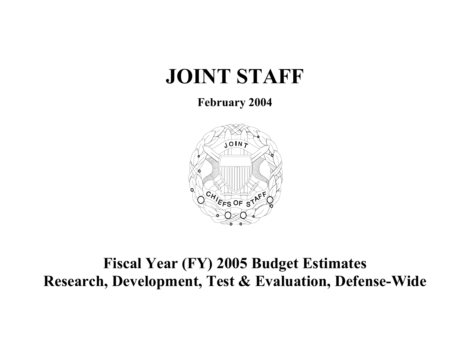# **JOINT STAFF**

### **February 2004**



## **Fiscal Year (FY) 2005 Budget Estimates Research, Development, Test & Evaluation, Defense-Wide**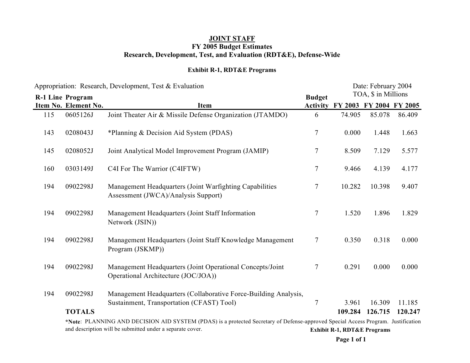### **Exhibit R-1, RDT&E Programs**

|     | Appropriation: Research, Development, Test & Evaluation |                                                                                                                                                                                                | Date: February 2004 |                                        |                     |         |
|-----|---------------------------------------------------------|------------------------------------------------------------------------------------------------------------------------------------------------------------------------------------------------|---------------------|----------------------------------------|---------------------|---------|
|     | <b>R-1 Line Program</b>                                 |                                                                                                                                                                                                | <b>Budget</b>       |                                        | TOA, \$ in Millions |         |
|     | Item No. Element No.                                    | <b>Item</b>                                                                                                                                                                                    | <b>Activity</b>     | FY 2003 FY 2004 FY 2005                |                     |         |
| 115 | 0605126J                                                | Joint Theater Air & Missile Defense Organization (JTAMDO)                                                                                                                                      | 6                   | 74.905                                 | 85.078              | 86.409  |
| 143 | 0208043J                                                | *Planning & Decision Aid System (PDAS)                                                                                                                                                         | $\tau$              | 0.000                                  | 1.448               | 1.663   |
| 145 | 0208052J                                                | Joint Analytical Model Improvement Program (JAMIP)                                                                                                                                             | $\boldsymbol{7}$    | 8.509                                  | 7.129               | 5.577   |
| 160 | 0303149J                                                | C4I For The Warrior (C4IFTW)                                                                                                                                                                   | $\boldsymbol{7}$    | 9.466                                  | 4.139               | 4.177   |
| 194 | 0902298J                                                | Management Headquarters (Joint Warfighting Capabilities<br>Assessment (JWCA)/Analysis Support)                                                                                                 | $\tau$              | 10.282                                 | 10.398              | 9.407   |
| 194 | 0902298J                                                | Management Headquarters (Joint Staff Information<br>Network (JSIN))                                                                                                                            | $\boldsymbol{7}$    | 1.520                                  | 1.896               | 1.829   |
| 194 | 0902298J                                                | Management Headquarters (Joint Staff Knowledge Management<br>Program (JSKMP))                                                                                                                  | $\tau$              | 0.350                                  | 0.318               | 0.000   |
| 194 | 0902298J                                                | Management Headquarters (Joint Operational Concepts/Joint<br>Operational Architecture (JOC/JOA))                                                                                               | $\tau$              | 0.291                                  | 0.000               | 0.000   |
| 194 | 0902298J                                                | Management Headquarters (Collaborative Force-Building Analysis,                                                                                                                                |                     |                                        |                     |         |
|     |                                                         | Sustainment, Transportation (CFAST) Tool)                                                                                                                                                      | $\overline{7}$      | 3.961                                  | 16.309              | 11.185  |
|     | <b>TOTALS</b>                                           |                                                                                                                                                                                                |                     | 109.284                                | 126.715             | 120.247 |
|     |                                                         | *Note: PLANNING AND DECISION AID SYSTEM (PDAS) is a protected Secretary of Defense-approved Special Access Program. Justification<br>and description will be submitted under a separate cover. |                     | <b>Exhibit R-1, RDT&amp;E Programs</b> |                     |         |

**Page 1 of 1**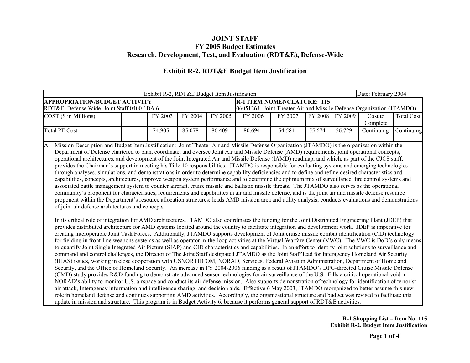### **Exhibit R-2, RDT&E Budget Item Justification**

| <b>APPROPRIATION/BUDGET ACTIVITY</b><br><b>R-1 ITEM NOMENCLATURE: 115</b><br>0605126J Joint Theater Air and Missile Defense Organization (JTAMDO)<br>RDT&E, Defense Wide, Joint Staff 0400 / BA 6<br>FY 2009<br>COST (\$ in Millions)<br>FY 2004<br>FY 2008<br>FY 2003<br>FY 2005<br>FY 2006<br>FY 2007<br>Cost to<br>Complete<br><b>Total PE Cost</b><br>85.078<br>86.409<br>80.694<br>54.584<br>55.674<br>56.729<br>74.905<br>Continuing<br>Mission Description and Budget Item Justification: Joint Theater Air and Missile Defense Organization (JTAMDO) is the organization within the<br>A.<br>Department of Defense chartered to plan, coordinate, and oversee Joint Air and Missile Defense (AMD) requirements, joint operational concepts,<br>operational architectures, and development of the Joint Integrated Air and Missile Defense (IAMD) roadmap, and which, as part of the CJCS staff,<br>provides the Chairman's support in meeting his Title 10 responsibilities. JTAMDO is responsible for evaluating systems and emerging technologies<br>through analyses, simulations, and demonstrations in order to determine capability deficiencies and to define and refine desired characteristics and<br>capabilities, concepts, architectures, improve weapon system performance and to determine the optimum mix of surveillance, fire control systems and<br>associated battle management system to counter aircraft, cruise missile and ballistic missile threats. The JTAMDO also serves as the operational<br>community's proponent for characteristics, requirements and capabilities in air and missile defense, and is the joint air and missile defense resource<br>proponent within the Department's resource allocation structures; leads AMD mission area and utility analysis; conducts evaluations and demonstrations<br>of joint air defense architectures and concepts.<br>In its critical role of integration for AMD architectures, JTAMDO also coordinates the funding for the Joint Distributed Engineering Plant (JDEP) that<br>provides distributed architecture for AMD systems located around the country to facilitate integration and development work. JDEP is imperative for<br>creating interoperable Joint Task Forces. Additionally, JTAMDO supports development of Joint cruise missile combat identification (CID) technology<br>for fielding in front-line weapons systems as well as operator in-the-loop activities at the Virtual Warfare Center (VWC). The VWC is DoD's only means<br>to quantify Joint Single Integrated Air Picture (SIAP) and CID characteristics and capabilities. In an effort to identify joint solutions to surveillance and<br>command and control challenges, the Director of The Joint Staff designated JTAMDO as the Joint Staff lead for Interagency Homeland Air Security<br>(IHAS) issues, working in close cooperation with USNORTHCOM, NORAD, Services, Federal Aviation Administration, Department of Homeland<br>Security, and the Office of Homeland Security. An increase in FY 2004-2006 funding as a result of JTAMDO's DPG-directed Cruise Missile Defense<br>(CMD) study provides R&D funding to demonstrate advanced sensor technologies for air surveillance of the U.S. Fills a critical operational void in<br>NORAD's ability to monitor U.S. airspace and conduct its air defense mission. Also supports demonstration of technology for identification of terrorist |  | Date: February 2004                                                                                                                                                                                                                                                                                          |  |  |  |  |  |  |  |                   |  |
|-------------------------------------------------------------------------------------------------------------------------------------------------------------------------------------------------------------------------------------------------------------------------------------------------------------------------------------------------------------------------------------------------------------------------------------------------------------------------------------------------------------------------------------------------------------------------------------------------------------------------------------------------------------------------------------------------------------------------------------------------------------------------------------------------------------------------------------------------------------------------------------------------------------------------------------------------------------------------------------------------------------------------------------------------------------------------------------------------------------------------------------------------------------------------------------------------------------------------------------------------------------------------------------------------------------------------------------------------------------------------------------------------------------------------------------------------------------------------------------------------------------------------------------------------------------------------------------------------------------------------------------------------------------------------------------------------------------------------------------------------------------------------------------------------------------------------------------------------------------------------------------------------------------------------------------------------------------------------------------------------------------------------------------------------------------------------------------------------------------------------------------------------------------------------------------------------------------------------------------------------------------------------------------------------------------------------------------------------------------------------------------------------------------------------------------------------------------------------------------------------------------------------------------------------------------------------------------------------------------------------------------------------------------------------------------------------------------------------------------------------------------------------------------------------------------------------------------------------------------------------------------------------------------------------------------------------------------------------------------------------------------------------------------------------------------------------------------------------------------------------------------------------------------------------------------------------------------------------------------------------------------------------------------------------------------------------------------------------------------------------------------------------------------------------------------------------------------------------|--|--------------------------------------------------------------------------------------------------------------------------------------------------------------------------------------------------------------------------------------------------------------------------------------------------------------|--|--|--|--|--|--|--|-------------------|--|
|                                                                                                                                                                                                                                                                                                                                                                                                                                                                                                                                                                                                                                                                                                                                                                                                                                                                                                                                                                                                                                                                                                                                                                                                                                                                                                                                                                                                                                                                                                                                                                                                                                                                                                                                                                                                                                                                                                                                                                                                                                                                                                                                                                                                                                                                                                                                                                                                                                                                                                                                                                                                                                                                                                                                                                                                                                                                                                                                                                                                                                                                                                                                                                                                                                                                                                                                                                                                                                                                         |  |                                                                                                                                                                                                                                                                                                              |  |  |  |  |  |  |  |                   |  |
|                                                                                                                                                                                                                                                                                                                                                                                                                                                                                                                                                                                                                                                                                                                                                                                                                                                                                                                                                                                                                                                                                                                                                                                                                                                                                                                                                                                                                                                                                                                                                                                                                                                                                                                                                                                                                                                                                                                                                                                                                                                                                                                                                                                                                                                                                                                                                                                                                                                                                                                                                                                                                                                                                                                                                                                                                                                                                                                                                                                                                                                                                                                                                                                                                                                                                                                                                                                                                                                                         |  |                                                                                                                                                                                                                                                                                                              |  |  |  |  |  |  |  |                   |  |
|                                                                                                                                                                                                                                                                                                                                                                                                                                                                                                                                                                                                                                                                                                                                                                                                                                                                                                                                                                                                                                                                                                                                                                                                                                                                                                                                                                                                                                                                                                                                                                                                                                                                                                                                                                                                                                                                                                                                                                                                                                                                                                                                                                                                                                                                                                                                                                                                                                                                                                                                                                                                                                                                                                                                                                                                                                                                                                                                                                                                                                                                                                                                                                                                                                                                                                                                                                                                                                                                         |  |                                                                                                                                                                                                                                                                                                              |  |  |  |  |  |  |  | <b>Total Cost</b> |  |
|                                                                                                                                                                                                                                                                                                                                                                                                                                                                                                                                                                                                                                                                                                                                                                                                                                                                                                                                                                                                                                                                                                                                                                                                                                                                                                                                                                                                                                                                                                                                                                                                                                                                                                                                                                                                                                                                                                                                                                                                                                                                                                                                                                                                                                                                                                                                                                                                                                                                                                                                                                                                                                                                                                                                                                                                                                                                                                                                                                                                                                                                                                                                                                                                                                                                                                                                                                                                                                                                         |  |                                                                                                                                                                                                                                                                                                              |  |  |  |  |  |  |  | Continuing        |  |
|                                                                                                                                                                                                                                                                                                                                                                                                                                                                                                                                                                                                                                                                                                                                                                                                                                                                                                                                                                                                                                                                                                                                                                                                                                                                                                                                                                                                                                                                                                                                                                                                                                                                                                                                                                                                                                                                                                                                                                                                                                                                                                                                                                                                                                                                                                                                                                                                                                                                                                                                                                                                                                                                                                                                                                                                                                                                                                                                                                                                                                                                                                                                                                                                                                                                                                                                                                                                                                                                         |  |                                                                                                                                                                                                                                                                                                              |  |  |  |  |  |  |  |                   |  |
| update in mission and structure. This program is in Budget Activity 6, because it performs general support of RDT&E activities.                                                                                                                                                                                                                                                                                                                                                                                                                                                                                                                                                                                                                                                                                                                                                                                                                                                                                                                                                                                                                                                                                                                                                                                                                                                                                                                                                                                                                                                                                                                                                                                                                                                                                                                                                                                                                                                                                                                                                                                                                                                                                                                                                                                                                                                                                                                                                                                                                                                                                                                                                                                                                                                                                                                                                                                                                                                                                                                                                                                                                                                                                                                                                                                                                                                                                                                                         |  | air attack, Interagency information and intelligence sharing, and decision aids. Effective 6 May 2003, JTAMDO reorganized to better assume this new<br>role in homeland defense and continues supporting AMD activities. Accordingly, the organizational structure and budget was revised to facilitate this |  |  |  |  |  |  |  |                   |  |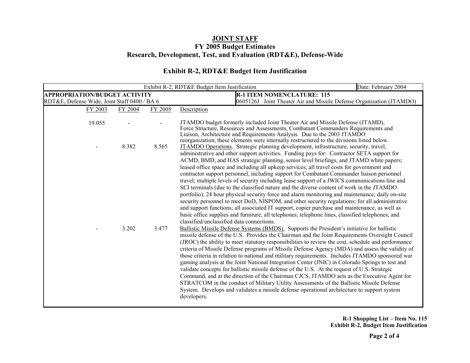### **Exhibit R-2, RDT&E Budget Item Justification**

|                                              |         |         | Exhibit R-2, RDT&E Budget Item Justification                                                                                                                                                                                                                                                                                                                                                                                                                                                                                                                                                                                                                                                                                                                                                                                                                                                                                                                                                                                                                                                                                  | Date: February 2004 |  |  |  |  |
|----------------------------------------------|---------|---------|-------------------------------------------------------------------------------------------------------------------------------------------------------------------------------------------------------------------------------------------------------------------------------------------------------------------------------------------------------------------------------------------------------------------------------------------------------------------------------------------------------------------------------------------------------------------------------------------------------------------------------------------------------------------------------------------------------------------------------------------------------------------------------------------------------------------------------------------------------------------------------------------------------------------------------------------------------------------------------------------------------------------------------------------------------------------------------------------------------------------------------|---------------------|--|--|--|--|
| <b>APPROPRIATION/BUDGET ACTIVITY</b>         |         |         | <b>R-1 ITEM NOMENCLATURE: 115</b>                                                                                                                                                                                                                                                                                                                                                                                                                                                                                                                                                                                                                                                                                                                                                                                                                                                                                                                                                                                                                                                                                             |                     |  |  |  |  |
| RDT&E, Defense Wide, Joint Staff 0400 / BA 6 |         |         | 0605126J Joint Theater Air and Missile Defense Organization (JTAMDO)                                                                                                                                                                                                                                                                                                                                                                                                                                                                                                                                                                                                                                                                                                                                                                                                                                                                                                                                                                                                                                                          |                     |  |  |  |  |
| FY 2003                                      | FY 2004 | FY 2005 | Description                                                                                                                                                                                                                                                                                                                                                                                                                                                                                                                                                                                                                                                                                                                                                                                                                                                                                                                                                                                                                                                                                                                   |                     |  |  |  |  |
| 19.055                                       |         |         | JTAMDO budget formerly included Joint Theater Air and Missile Defense (JTAMD),<br>Force Structure, Resources and Assessments, Combatant Commanders Requirements and<br>Liaison, Architecture and Requirements Analysis. Due to the 2003 JTAMDO<br>reorganization, these elements were internally restructured to the divisions listed below.                                                                                                                                                                                                                                                                                                                                                                                                                                                                                                                                                                                                                                                                                                                                                                                  |                     |  |  |  |  |
|                                              | 8.382   | 8.565   | JTAMDO Operations. Strategic planning development, infrastructure, security, travel,<br>administrative and other support activities. Funding pays for: Contractor SETA support for<br>ACMD, BMD, and HAS strategic planning, senior level briefings, and JTAMD white papers;<br>leased office space and including all upkeep services; all travel costs for government and<br>contractor support personnel, including support for Combatant Commander liaison personnel<br>travel; multiple levels of security including lease support of a JWICS communications line and<br>SCI terminals (due to the classified nature and the diverse content of work in the JTAMDO<br>portfolio); 24 hour physical security force and alarm monitoring and maintenance; daily on-site<br>security personnel to meet DoD, NISPOM, and other security regulations; for all administrative<br>and support functions; all associated IT support, copier purchase and maintenance, as well as<br>basic office supplies and furniture; all telephones, telephone lines, classified telephones, and<br>classified/unclassified data connections. |                     |  |  |  |  |
|                                              | 3.202   | 3.477   | Ballistic Missile Defense Systems (BMDS). Supports the President's initiative for ballistic<br>missile defense of the U.S. Provides the Chairman and the Joint Requirements Oversight Council<br>(JROC) the ability to meet statutory responsibilities to review the cost, schedule and performance<br>criteria of Missile Defense programs of Missile Defense Agency (MDA) and assess the validity of<br>those criteria in relation to national and military requirements. Includes JTAMDO sponsored war<br>gaming analysis at the Joint National Integration Center (JNIC) in Colorado Springs to test and<br>validate concepts for ballistic missile defense of the U.S. At the request of U.S. Strategic<br>Command, and at the direction of the Chairman CJCS, JTAMDO acts as the Executive Agent for<br>STRATCOM in the conduct of Military Utility Assessments of the Ballistic Missile Defense<br>System. Develops and validates a missile defense operational architecture to support system<br>developers.                                                                                                          |                     |  |  |  |  |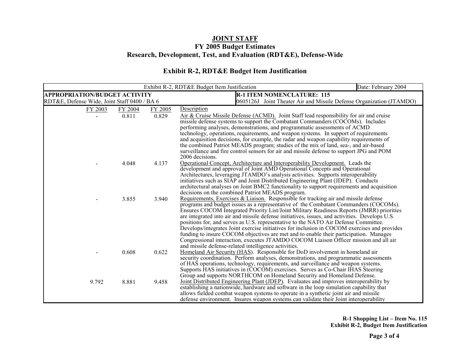### **Exhibit R-2, RDT&E Budget Item Justification**

|                                              |         |         | Exhibit R-2, RDT&E Budget Item Justification                                                                                                                                        | Date: February 2004 |  |  |  |  |
|----------------------------------------------|---------|---------|-------------------------------------------------------------------------------------------------------------------------------------------------------------------------------------|---------------------|--|--|--|--|
| <b>APPROPRIATION/BUDGET ACTIVITY</b>         |         |         | <b>R-1 ITEM NOMENCLATURE: 115</b>                                                                                                                                                   |                     |  |  |  |  |
| RDT&E, Defense Wide, Joint Staff 0400 / BA 6 |         |         | 0605126J Joint Theater Air and Missile Defense Organization (JTAMDO)                                                                                                                |                     |  |  |  |  |
| FY 2003                                      | FY 2004 | FY 2005 | Description                                                                                                                                                                         |                     |  |  |  |  |
|                                              | 0.811   | 0.829   | Air & Cruise Missile Defense (ACMD). Joint Staff lead responsibility for air and cruise                                                                                             |                     |  |  |  |  |
|                                              |         |         | missile defense systems to support the Combatant Commanders (COCOMs). Includes                                                                                                      |                     |  |  |  |  |
|                                              |         |         | performing analyses, demonstrations, and programmatic assessments of ACMD                                                                                                           |                     |  |  |  |  |
|                                              |         |         | technology, operations, requirements, and weapon systems. In support of requirements                                                                                                |                     |  |  |  |  |
|                                              |         |         | and acquisition decisions, for example, the radar and weapon capability requirements of                                                                                             |                     |  |  |  |  |
|                                              |         |         | the combined Patriot MEADS program; studies of the mix of land, sea-, and air-based                                                                                                 |                     |  |  |  |  |
|                                              |         |         | surveillance and fire control sensors for air and missile defense to support JPG and POM<br>2006 decisions.                                                                         |                     |  |  |  |  |
|                                              | 4.048   | 4.137   | Operational Concept, Architecture and Interoperability Development. Leads the                                                                                                       |                     |  |  |  |  |
|                                              |         |         | development and approval of Joint AMD Operational Concepts and Operational                                                                                                          |                     |  |  |  |  |
|                                              |         |         | Architectures, leveraging JTAMDO's analysis activities. Supports interoperability                                                                                                   |                     |  |  |  |  |
|                                              |         |         | initiatives such as SIAP and Joint Distributed Engineering Plant (JDEP). Conducts                                                                                                   |                     |  |  |  |  |
|                                              |         |         | architectural analyses on Joint BMC2 functionality to support requirements and acquisition                                                                                          |                     |  |  |  |  |
|                                              |         |         | decisions on the combined Patriot MEADS program.                                                                                                                                    |                     |  |  |  |  |
|                                              | 3.855   | 3.940   | Requirements, Exercises & Liaison. Responsible for tracking air and missile defense                                                                                                 |                     |  |  |  |  |
|                                              |         |         | programs and budget issues as a representative of the Combatant Commanders (COCOMs).                                                                                                |                     |  |  |  |  |
|                                              |         |         | Ensures COCOM Integrated Priority List/Joint Military Readiness Reports (JMRR) priorities                                                                                           |                     |  |  |  |  |
|                                              |         |         | are integrated into air and missile defense initiatives, issues, and activities. Develops U.S.                                                                                      |                     |  |  |  |  |
|                                              |         |         | positions for, and serves as U.S. representative to the NATO Air Defense Committee.<br>Develops/integrates Joint exercise initiatives for inclusion in COCOM exercises and provides |                     |  |  |  |  |
|                                              |         |         | funding to insure COCOM objectives are met and to enable their participation. Manages                                                                                               |                     |  |  |  |  |
|                                              |         |         | Congressional interaction, executes JTAMDO COCOM Liaison Officer mission and all air                                                                                                |                     |  |  |  |  |
|                                              |         |         | and missile defense-related intelligence activities.                                                                                                                                |                     |  |  |  |  |
|                                              | 0.608   | 0.622   | Homeland Air Security (HAS). Responsible for DoD involvement in homeland air                                                                                                        |                     |  |  |  |  |
|                                              |         |         | security coordination. Perform analyses, demonstrations, and programmatic assessments                                                                                               |                     |  |  |  |  |
|                                              |         |         | of HAS operations, technology, requirements, and surveillance and weapon systems.                                                                                                   |                     |  |  |  |  |
|                                              |         |         | Supports HAS initiatives in (COCOM) exercises. Serves as Co-Chair IHAS Steering                                                                                                     |                     |  |  |  |  |
|                                              |         |         | Group and supports NORTHCOM on Homeland Security and Homeland Defense.                                                                                                              |                     |  |  |  |  |
| 9.792                                        | 8.881   | 9.458   | Joint Distributed Engineering Plant (JDEP). Evaluates and improves interoperability by                                                                                              |                     |  |  |  |  |
|                                              |         |         | establishing a nationwide, hardware and software in the loop simulation capability that                                                                                             |                     |  |  |  |  |
|                                              |         |         | allows fielded combat weapon systems to operate in a synthetic joint air and missile                                                                                                |                     |  |  |  |  |
|                                              |         |         | defense environment. Insures weapon systems can validate their Joint interoperability                                                                                               |                     |  |  |  |  |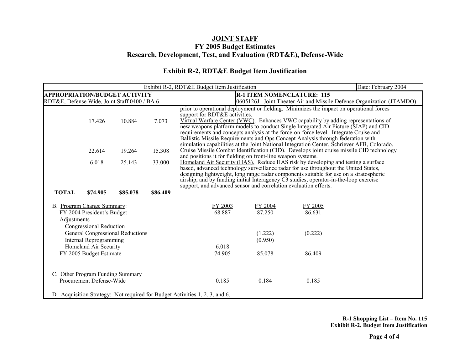### **Exhibit R-2, RDT&E Budget Item Justification**

|                                                              |                                                                                     |                                  |          | Exhibit R-2, RDT&E Budget Item Justification                                                                                                                                                                                                                                                                                                                                                                                   | Date: February 2004                                                                                                                                                                                                                                                                                                                                                                                                                                                                                                                                                            |                   |  |  |  |  |  |
|--------------------------------------------------------------|-------------------------------------------------------------------------------------|----------------------------------|----------|--------------------------------------------------------------------------------------------------------------------------------------------------------------------------------------------------------------------------------------------------------------------------------------------------------------------------------------------------------------------------------------------------------------------------------|--------------------------------------------------------------------------------------------------------------------------------------------------------------------------------------------------------------------------------------------------------------------------------------------------------------------------------------------------------------------------------------------------------------------------------------------------------------------------------------------------------------------------------------------------------------------------------|-------------------|--|--|--|--|--|
| <b>APPROPRIATION/BUDGET ACTIVITY</b>                         |                                                                                     |                                  |          | <b>R-1 ITEM NOMENCLATURE: 115</b>                                                                                                                                                                                                                                                                                                                                                                                              |                                                                                                                                                                                                                                                                                                                                                                                                                                                                                                                                                                                |                   |  |  |  |  |  |
| RDT&E, Defense Wide, Joint Staff 0400 / BA 6                 |                                                                                     |                                  |          | 0605126J Joint Theater Air and Missile Defense Organization (JTAMDO)                                                                                                                                                                                                                                                                                                                                                           |                                                                                                                                                                                                                                                                                                                                                                                                                                                                                                                                                                                |                   |  |  |  |  |  |
|                                                              | 17.426                                                                              | 10.884                           | 7.073    |                                                                                                                                                                                                                                                                                                                                                                                                                                | prior to operational deployment or fielding. Minimizes the impact on operational forces<br>support for RDT&E activities.<br>Virtual Warfare Center (VWC). Enhances VWC capability by adding representations of<br>new weapons platform models to conduct Single Integrated Air Picture (SIAP) and CID<br>requirements and concepts analysis at the force-on-force level. Integrate Cruise and<br>Ballistic Missile Requirements and Ops Concept Analysis through federation with<br>simulation capabilities at the Joint National Integration Center, Schriever AFB, Colorado. |                   |  |  |  |  |  |
|                                                              | 22.614                                                                              | 19.264                           | 15.308   |                                                                                                                                                                                                                                                                                                                                                                                                                                | Cruise Missile Combat Identification (CID). Develops joint cruise missile CID technology<br>and positions it for fielding on front-line weapon systems.                                                                                                                                                                                                                                                                                                                                                                                                                        |                   |  |  |  |  |  |
|                                                              | 6.018                                                                               | 25.143                           | 33.000   | Homeland Air Security (HAS). Reduce HAS risk by developing and testing a surface<br>based, advanced technology surveillance radar for use throughout the United States,<br>designing lightweight, long range radar components suitable for use on a stratospheric<br>airship, and by funding initial Interagency C3 studies, operator-in-the-loop exercise<br>support, and advanced sensor and correlation evaluation efforts. |                                                                                                                                                                                                                                                                                                                                                                                                                                                                                                                                                                                |                   |  |  |  |  |  |
| <b>TOTAL</b>                                                 | \$74.905                                                                            | \$85.078                         | \$86.409 |                                                                                                                                                                                                                                                                                                                                                                                                                                |                                                                                                                                                                                                                                                                                                                                                                                                                                                                                                                                                                                |                   |  |  |  |  |  |
| Adjustments                                                  | B. Program Change Summary:<br>FY 2004 President's Budget<br>Congressional Reduction |                                  |          | FY 2003<br>68.887                                                                                                                                                                                                                                                                                                                                                                                                              | FY 2004<br>87.250                                                                                                                                                                                                                                                                                                                                                                                                                                                                                                                                                              | FY 2005<br>86.631 |  |  |  |  |  |
|                                                              | Internal Reprogramming                                                              | General Congressional Reductions |          |                                                                                                                                                                                                                                                                                                                                                                                                                                | (1.222)<br>(0.950)                                                                                                                                                                                                                                                                                                                                                                                                                                                                                                                                                             | (0.222)           |  |  |  |  |  |
|                                                              | Homeland Air Security                                                               |                                  |          | 6.018                                                                                                                                                                                                                                                                                                                                                                                                                          |                                                                                                                                                                                                                                                                                                                                                                                                                                                                                                                                                                                |                   |  |  |  |  |  |
| FY 2005 Budget Estimate                                      |                                                                                     |                                  |          | 74.905                                                                                                                                                                                                                                                                                                                                                                                                                         | 85.078                                                                                                                                                                                                                                                                                                                                                                                                                                                                                                                                                                         | 86.409            |  |  |  |  |  |
| C. Other Program Funding Summary<br>Procurement Defense-Wide |                                                                                     |                                  |          | 0.185                                                                                                                                                                                                                                                                                                                                                                                                                          | 0.184                                                                                                                                                                                                                                                                                                                                                                                                                                                                                                                                                                          | 0.185             |  |  |  |  |  |
|                                                              |                                                                                     |                                  |          | D. Acquisition Strategy: Not required for Budget Activities 1, 2, 3, and 6.                                                                                                                                                                                                                                                                                                                                                    |                                                                                                                                                                                                                                                                                                                                                                                                                                                                                                                                                                                |                   |  |  |  |  |  |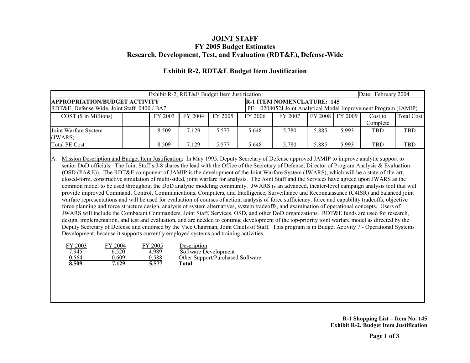|                                                                                     | Date: February 2004 |         |         |         |         |                                                                                                      |       |                 |                     |                   |  |
|-------------------------------------------------------------------------------------|---------------------|---------|---------|---------|---------|------------------------------------------------------------------------------------------------------|-------|-----------------|---------------------|-------------------|--|
| <b>APPROPRIATION/BUDGET ACTIVITY</b><br>RDT&E, Defense Wide, Joint Staff 0400 / BA7 |                     |         |         |         |         | <b>R-1 ITEM NOMENCLATURE: 145</b><br>PE: 0208052J Joint Analytical Model Improvement Program (JAMIP) |       |                 |                     |                   |  |
| $COST$ ( $\$$ in Millions)                                                          |                     | FY 2003 | FY 2004 | FY 2005 | FY 2006 | FY 2007                                                                                              |       | FY 2008 FY 2009 | Cost to<br>Complete | <b>Total Cost</b> |  |
| Joint Warfare System<br>(JWARS)                                                     |                     | 8.509   | 7.129   | 5.577   | 5.648   | 5.780                                                                                                | 5.885 | 5.993           | <b>TBD</b>          | <b>TBD</b>        |  |
| Total PE Cost                                                                       |                     | 8.509   | 7.129   | 5.577   | 5.648   | 5.780                                                                                                | 5.885 | 5.993           | <b>TBD</b>          | <b>TBD</b>        |  |

### **Exhibit R-2, RDT&E Budget Item Justification**

A. Mission Description and Budget Item Justification: In May 1995, Deputy Secretary of Defense approved JAMIP to improve analytic support to senior DoD officials. The Joint Staff's J-8 shares the lead with the Office of the Secretary of Defense, Director of Program Analysis & Evaluation (OSD (PA&E)). The RDT&E component of JAMIP is the development of the Joint Warfare System (JWARS), which will be a state-of-the-art, closed-form, constructive simulation of multi-sided, joint warfare for analysis. The Joint Staff and the Services have agreed upon JWARS as the common model to be used throughout the DoD analytic modeling community. JWARS is an advanced, theater-level campaign analysis tool that will provide improved Command, Control, Communications, Computers, and Intelligence, Surveillance and Reconnaissance (C4ISR) and balanced joint warfare representations and will be used for evaluation of courses of action, analysis of force sufficiency, force and capability tradeoffs, objective force planning and force structure design, analysis of system alternatives, system tradeoffs, and examination of operational concepts. Users of JWARS will include the Combatant Commanders, Joint Staff, Services, OSD, and other DoD organizations. RDT&E funds are used for research, design, implementation, and test and evaluation, and are needed to continue development of the top-priority joint warfare model as directed by the Deputy Secretary of Defense and endorsed by the Vice Chairman, Joint Chiefs of Staff. This program is in Budget Activity 7 - Operational Systems Development, because it supports currently employed systems and training activities.

| FY 2003 | FY 2004 | FY 2005 | Description                      |
|---------|---------|---------|----------------------------------|
| 7.945   | 6.520   | 4.989   | Software Development             |
| 0.564   | 0 609   | 0.588   | Other Support/Purchased Software |
| 8.509   | 7.129   | 5.577   | <b>Total</b>                     |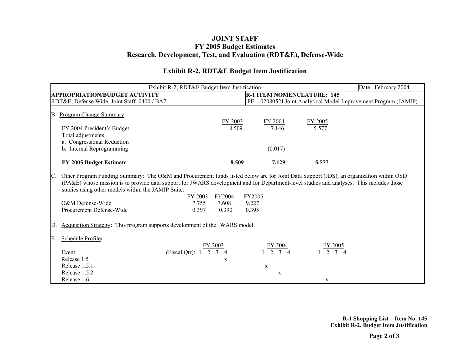### **Exhibit R-2, RDT&E Budget Item Justification**

| Exhibit R-2, RDT&E Budget Item Justification                                                                                                                                                                                                                                                                                                                                                                                 |                          | Date: February 2004      |                                   |                                                                 |
|------------------------------------------------------------------------------------------------------------------------------------------------------------------------------------------------------------------------------------------------------------------------------------------------------------------------------------------------------------------------------------------------------------------------------|--------------------------|--------------------------|-----------------------------------|-----------------------------------------------------------------|
| <b>APPROPRIATION/BUDGET ACTIVITY</b>                                                                                                                                                                                                                                                                                                                                                                                         |                          |                          | <b>R-1 ITEM NOMENCLATURE: 145</b> |                                                                 |
| RDT&E, Defense Wide, Joint Staff 0400 / BA7                                                                                                                                                                                                                                                                                                                                                                                  |                          |                          |                                   | PE: 0208052J Joint Analytical Model Improvement Program (JAMIP) |
|                                                                                                                                                                                                                                                                                                                                                                                                                              |                          |                          |                                   |                                                                 |
| B. Program Change Summary:                                                                                                                                                                                                                                                                                                                                                                                                   |                          |                          |                                   |                                                                 |
|                                                                                                                                                                                                                                                                                                                                                                                                                              | FY 2003                  | FY 2004                  | FY 2005                           |                                                                 |
| FY 2004 President's Budget                                                                                                                                                                                                                                                                                                                                                                                                   | 8.509                    | 7.146                    | 5.577                             |                                                                 |
| Total adjustments                                                                                                                                                                                                                                                                                                                                                                                                            |                          |                          |                                   |                                                                 |
| a. Congressional Reduction                                                                                                                                                                                                                                                                                                                                                                                                   |                          |                          |                                   |                                                                 |
| b. Internal Reprogramming                                                                                                                                                                                                                                                                                                                                                                                                    |                          | (0.017)                  |                                   |                                                                 |
|                                                                                                                                                                                                                                                                                                                                                                                                                              |                          |                          |                                   |                                                                 |
| FY 2005 Budget Estimate                                                                                                                                                                                                                                                                                                                                                                                                      | 8.509                    | 7.129                    | 5.577                             |                                                                 |
| Other Program Funding Summary: The O&M and Procurement funds listed below are for Joint Data Support (JDS), an organization within OSD<br>IC.<br>(PA&E) whose mission is to provide data support for JWARS development and for Department-level studies and analyses. This includes those<br>studies using other models within the JAMIP Suite.<br>FY 2003<br>O&M Defense-Wide<br>7.755<br>Procurement Defense-Wide<br>0.397 | FY2004<br>7.608<br>0.390 | FY2005<br>9.227<br>0.395 |                                   |                                                                 |
| Acquisition Strategy: This program supports development of the JWARS model.<br>ID.                                                                                                                                                                                                                                                                                                                                           |                          |                          |                                   |                                                                 |
| Schedule Profile:<br>E.<br>(Fiscal Qtr): 1<br>2<br>Event<br>Release 1.5                                                                                                                                                                                                                                                                                                                                                      | FY 2003<br>X             | FY 2004                  | FY 2005<br>$2 \t3 \t4$            |                                                                 |
| Release 1.5.1                                                                                                                                                                                                                                                                                                                                                                                                                |                          | $\mathbf x$              |                                   |                                                                 |
| Release 1.5.2                                                                                                                                                                                                                                                                                                                                                                                                                |                          | $\mathbf X$              |                                   |                                                                 |
| Release 1.6                                                                                                                                                                                                                                                                                                                                                                                                                  |                          |                          | X                                 |                                                                 |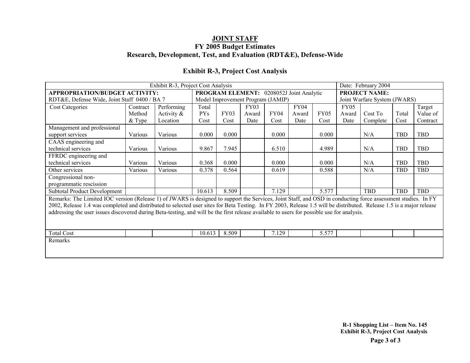| Exhibit R-3, Project Cost Analysis                                                                                                                                   |          |               |                                          |       |                                   |       |             |                      |                              | Date: February 2004 |            |            |
|----------------------------------------------------------------------------------------------------------------------------------------------------------------------|----------|---------------|------------------------------------------|-------|-----------------------------------|-------|-------------|----------------------|------------------------------|---------------------|------------|------------|
| APPROPRIATION/BUDGET ACTIVITY:                                                                                                                                       |          |               | PROGRAM ELEMENT: 0208052J Joint Analytic |       |                                   |       |             | <b>PROJECT NAME:</b> |                              |                     |            |            |
| RDT&E, Defense Wide, Joint Staff 0400 / BA 7                                                                                                                         |          |               |                                          |       | Model Improvement Program (JAMIP) |       |             |                      | Joint Warfare System (JWARS) |                     |            |            |
| <b>Cost Categories</b>                                                                                                                                               | Contract | Performing    | Total                                    |       | FY03                              |       | <b>FY04</b> |                      | <b>FY05</b>                  |                     |            | Target     |
|                                                                                                                                                                      | Method   | Activity $\&$ | PY <sub>S</sub>                          | FY03  | Award                             | FY04  | Award       | <b>FY05</b>          | Award                        | Cost To             | Total      | Value of   |
|                                                                                                                                                                      | $&$ Type | Location      | Cost                                     | Cost  | Date                              | Cost  | Date        | Cost                 | Date                         | Complete            | Cost       | Contract   |
| Management and professional                                                                                                                                          |          |               |                                          |       |                                   |       |             |                      |                              |                     |            |            |
| support services                                                                                                                                                     | Various  | Various       | 0.000                                    | 0.000 |                                   | 0.000 |             | 0.000                |                              | N/A                 | TBD        | TBD        |
| CAAS engineering and                                                                                                                                                 |          |               |                                          |       |                                   |       |             |                      |                              |                     |            |            |
| technical services                                                                                                                                                   | Various  | Various       | 9.867                                    | 7.945 |                                   | 6.510 |             | 4.989                |                              | N/A                 | <b>TBD</b> | <b>TBD</b> |
| FFRDC engineering and                                                                                                                                                |          |               |                                          |       |                                   |       |             |                      |                              |                     |            |            |
| technical services                                                                                                                                                   | Various  | Various       | 0.368                                    | 0.000 |                                   | 0.000 |             | 0.000                |                              | N/A                 | <b>TBD</b> | TBD        |
| Other services                                                                                                                                                       | Various  | Various       | 0.378                                    | 0.564 |                                   | 0.619 |             | 0.588                |                              | N/A                 | <b>TBD</b> | <b>TBD</b> |
| Congressional non-                                                                                                                                                   |          |               |                                          |       |                                   |       |             |                      |                              |                     |            |            |
| programmatic rescission                                                                                                                                              |          |               |                                          |       |                                   |       |             |                      |                              |                     |            |            |
| <b>Subtotal Product Development</b>                                                                                                                                  |          |               | 10.613                                   | 8.509 |                                   | 7.129 |             | 5.577                |                              | <b>TBD</b>          | TBD        | TBD        |
| Remarks: The Limited IOC version (Release 1) of JWARS is designed to support the Services, Joint Staff, and OSD in conducting force assessment studies. In FY        |          |               |                                          |       |                                   |       |             |                      |                              |                     |            |            |
| 2002, Release 1.4 was completed and distributed to selected user sites for Beta Testing. In FY 2003, Release 1.5 will be distributed. Release 1.5 is a major release |          |               |                                          |       |                                   |       |             |                      |                              |                     |            |            |
| addressing the user issues discovered during Beta-testing, and will be the first release available to users for possible use for analysis.                           |          |               |                                          |       |                                   |       |             |                      |                              |                     |            |            |
|                                                                                                                                                                      |          |               |                                          |       |                                   |       |             |                      |                              |                     |            |            |
|                                                                                                                                                                      |          |               |                                          |       |                                   |       |             |                      |                              |                     |            |            |
| <b>Total Cost</b>                                                                                                                                                    |          |               | 10.613                                   | 8.509 |                                   | 7.129 |             | 5.577                |                              |                     |            |            |
| Remarks                                                                                                                                                              |          |               |                                          |       |                                   |       |             |                      |                              |                     |            |            |
|                                                                                                                                                                      |          |               |                                          |       |                                   |       |             |                      |                              |                     |            |            |
|                                                                                                                                                                      |          |               |                                          |       |                                   |       |             |                      |                              |                     |            |            |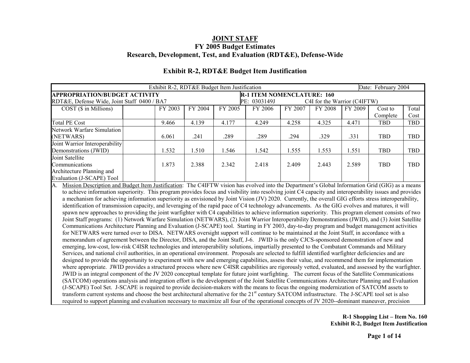|                                                                                                                                                          | Exhibit R-2, RDT&E Budget Item Justification |         |         |                                   |         |                              |         |                     |            |
|----------------------------------------------------------------------------------------------------------------------------------------------------------|----------------------------------------------|---------|---------|-----------------------------------|---------|------------------------------|---------|---------------------|------------|
| <b>APPROPRIATION/BUDGET ACTIVITY</b>                                                                                                                     |                                              |         |         | <b>R-1 ITEM NOMENCLATURE: 160</b> |         |                              |         | Date: February 2004 |            |
| RDT&E, Defense Wide, Joint Staff 0400 / BA7                                                                                                              |                                              |         |         | PE: 0303149J                      |         | C4I for the Warrior (C4IFTW) |         |                     |            |
| $COST$ ( $\$$ in Millions)                                                                                                                               | FY 2003                                      | FY 2004 | FY 2005 | FY 2006                           | FY 2007 | FY 2008                      | FY 2009 | Cost to             | Total      |
|                                                                                                                                                          |                                              |         |         |                                   |         |                              |         | Complete            | Cost       |
| <b>Total PE Cost</b>                                                                                                                                     | 9.466                                        | 4.139   | 4.177   | 4.249                             | 4.258   | 4.325                        | 4.471   | <b>TBD</b>          | <b>TBD</b> |
| <b>Network Warfare Simulation</b>                                                                                                                        |                                              |         |         |                                   |         |                              |         |                     |            |
| (NETWARS)                                                                                                                                                | 6.061                                        | .241    | .289    | .289                              | .294    | .329                         | .331    | <b>TBD</b>          | TBD        |
| Joint Warrior Interoperability                                                                                                                           |                                              |         |         |                                   |         |                              |         |                     |            |
| Demonstrations (JWID)                                                                                                                                    | 1.532                                        | 1.510   | 1.546   | 1.542                             | 1.555   | 1.553                        | 1.551   | <b>TBD</b>          | <b>TBD</b> |
| Joint Satellite                                                                                                                                          |                                              |         |         |                                   |         |                              |         |                     |            |
| Communications                                                                                                                                           | 1.873                                        | 2.388   | 2.342   | 2.418                             | 2.409   | 2.443                        | 2.589   | <b>TBD</b>          | <b>TBD</b> |
| Architecture Planning and                                                                                                                                |                                              |         |         |                                   |         |                              |         |                     |            |
| Evaluation (J-SCAPE) Tool                                                                                                                                |                                              |         |         |                                   |         |                              |         |                     |            |
| Mission Description and Budget Item Justification: The C4IFTW vision has evolved into the Department's Global Information Grid (GIG) as a means<br>A.    |                                              |         |         |                                   |         |                              |         |                     |            |
| to achieve information superiority. This program provides focus and visibility into resolving joint C4 capacity and interoperability issues and provides |                                              |         |         |                                   |         |                              |         |                     |            |
| a mechanism for achieving information superiority as envisioned by Joint Vision (JV) 2020. Currently, the overall GIG efforts stress interoperability,   |                                              |         |         |                                   |         |                              |         |                     |            |
| identification of transmission capacity, and leveraging of the rapid pace of C4 technology advancements. As the GIG evolves and matures, it will         |                                              |         |         |                                   |         |                              |         |                     |            |
| spawn new approaches to providing the joint warfighter with C4 capabilities to achieve information superiority. This program element consists of two     |                                              |         |         |                                   |         |                              |         |                     |            |
| Joint Staff programs: (1) Network Warfare Simulation (NETWARS), (2) Joint Warrior Interoperability Demonstrations (JWID), and (3) Joint Satellite        |                                              |         |         |                                   |         |                              |         |                     |            |
| Communications Architecture Planning and Evaluation (J-SCAPE) tool. Starting in FY 2003, day-to-day program and budget management activities             |                                              |         |         |                                   |         |                              |         |                     |            |
| for NETWARS were turned over to DISA. NETWARS oversight support will continue to be maintained at the Joint Staff, in accordance with a                  |                                              |         |         |                                   |         |                              |         |                     |            |
| memorandum of agreement between the Director, DISA, and the Joint Staff, J-6. JWID is the only CJCS-sponsored demonstration of new and                   |                                              |         |         |                                   |         |                              |         |                     |            |
| emerging, low-cost, low-risk C4ISR technologies and interoperability solutions, impartially presented to the Combatant Commands and Military             |                                              |         |         |                                   |         |                              |         |                     |            |
| Services, and national civil authorities, in an operational environment. Proposals are selected to fulfill identified warfighter deficiencies and are    |                                              |         |         |                                   |         |                              |         |                     |            |

### **Exhibit R-2, RDT&E Budget Item Justification**

designed to provide the opportunity to experiment with new and emerging capabilities, assess their value, and recommend them for implementation where appropriate. JWID provides a structured process where new C4ISR capabilities are rigorously vetted, evaluated, and assessed by the warfighter. JWID is an integral component of the JV 2020 conceptual template for future joint warfighting. The current focus of the Satellite Communications (SATCOM) operations analysis and integration effort is the development of the Joint Satellite Communications Architecture Planning and Evaluation (J-SCAPE) Tool Set. J-SCAPE is required to provide decision-makers with the means to focus the ongoing modernization of SATCOM assets to transform current systems and choose the best architectural alternative for the 21<sup>st</sup> century SATCOM infrastructure. The J-SCAPE tool set is also required to support planning and evaluation necessary to maximize all four of the operational concepts of JV 2020--dominant maneuver, precision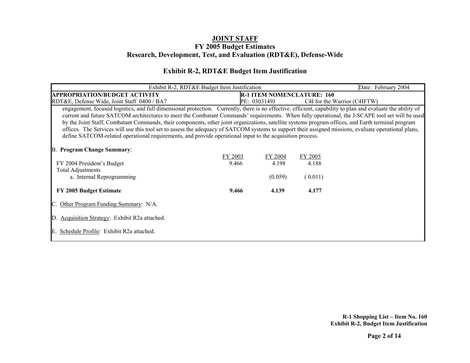### **Exhibit R-2, RDT&E Budget Item Justification**

| Exhibit R-2, RDT&E Budget Item Justification                                                                                                                | Date: February 2004                                                                                                                             |              |                                   |                              |  |  |  |  |  |  |  |
|-------------------------------------------------------------------------------------------------------------------------------------------------------------|-------------------------------------------------------------------------------------------------------------------------------------------------|--------------|-----------------------------------|------------------------------|--|--|--|--|--|--|--|
| <b>APPROPRIATION/BUDGET ACTIVITY</b>                                                                                                                        |                                                                                                                                                 |              | <b>R-1 ITEM NOMENCLATURE: 160</b> |                              |  |  |  |  |  |  |  |
| RDT&E, Defense Wide, Joint Staff 0400 / BA7                                                                                                                 |                                                                                                                                                 | PE: 0303149J |                                   | C4I for the Warrior (C4IFTW) |  |  |  |  |  |  |  |
| engagement, focused logistics, and full dimensional protection. Currently, there is no effective, efficient, capability to plan and evaluate the ability of |                                                                                                                                                 |              |                                   |                              |  |  |  |  |  |  |  |
|                                                                                                                                                             | current and future SATCOM architectures to meet the Combatant Commands' requirements. When fully operational, the J-SCAPE tool set will be used |              |                                   |                              |  |  |  |  |  |  |  |
| by the Joint Staff, Combatant Commands, their components, other joint organizations, satellite systems program offices, and Earth terminal program          |                                                                                                                                                 |              |                                   |                              |  |  |  |  |  |  |  |
| offices. The Services will use this tool set to assess the adequacy of SATCOM systems to support their assigned missions, evaluate operational plans,       |                                                                                                                                                 |              |                                   |                              |  |  |  |  |  |  |  |
| define SATCOM-related operational requirements, and provide operational input to the acquisition process.                                                   |                                                                                                                                                 |              |                                   |                              |  |  |  |  |  |  |  |
|                                                                                                                                                             |                                                                                                                                                 |              |                                   |                              |  |  |  |  |  |  |  |
| <b>B. Program Change Summary:</b>                                                                                                                           |                                                                                                                                                 |              |                                   |                              |  |  |  |  |  |  |  |
|                                                                                                                                                             | FY 2003                                                                                                                                         | FY 2004      | FY 2005                           |                              |  |  |  |  |  |  |  |
| FY 2004 President's Budget                                                                                                                                  | 9.466                                                                                                                                           | 4.198        | 4.188                             |                              |  |  |  |  |  |  |  |
| <b>Total Adjustments</b>                                                                                                                                    |                                                                                                                                                 |              |                                   |                              |  |  |  |  |  |  |  |
| a. Internal Reprogramming                                                                                                                                   |                                                                                                                                                 | (0.059)      | (0.011)                           |                              |  |  |  |  |  |  |  |
|                                                                                                                                                             |                                                                                                                                                 |              |                                   |                              |  |  |  |  |  |  |  |
| FY 2005 Budget Estimate                                                                                                                                     | 9.466                                                                                                                                           | 4.139        | 4.177                             |                              |  |  |  |  |  |  |  |
|                                                                                                                                                             |                                                                                                                                                 |              |                                   |                              |  |  |  |  |  |  |  |
| Other Program Funding Summary: N/A.                                                                                                                         |                                                                                                                                                 |              |                                   |                              |  |  |  |  |  |  |  |
|                                                                                                                                                             |                                                                                                                                                 |              |                                   |                              |  |  |  |  |  |  |  |
| Acquisition Strategy: Exhibit R2a attached.<br>$\mathbb{D}$ .                                                                                               |                                                                                                                                                 |              |                                   |                              |  |  |  |  |  |  |  |
|                                                                                                                                                             |                                                                                                                                                 |              |                                   |                              |  |  |  |  |  |  |  |
| Schedule Profile: Exhibit R2a attached.<br>E.                                                                                                               |                                                                                                                                                 |              |                                   |                              |  |  |  |  |  |  |  |
|                                                                                                                                                             |                                                                                                                                                 |              |                                   |                              |  |  |  |  |  |  |  |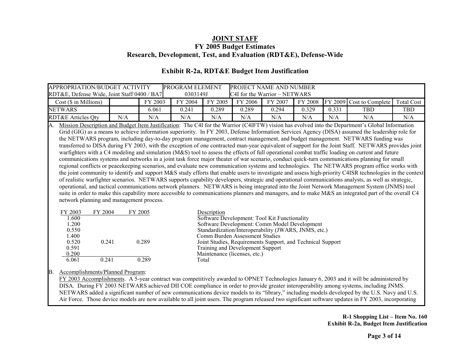| APPROPRIATION/BUDGET ACTIVITY<br>RDT&E, Defense Wide, Joint Staff 0400 / BA7                                                                                                                                                                                                                                                                                                                                                                                                                                                                                                                                                                                                                                                                                                                                                                                                                                                                                                                                                                                                                                                                                                                                                                                                                                                                                                                                                                                                                                                                                                                                                                                                                                                 |     |                           | PROGRAM ELEMENT<br>0303149J |                      |                                                                                                    | PROJECT NAME AND NUMBER<br>C4I for the Warrior - NETWARS                                                                                                                                                           |         |       |                          |                   |
|------------------------------------------------------------------------------------------------------------------------------------------------------------------------------------------------------------------------------------------------------------------------------------------------------------------------------------------------------------------------------------------------------------------------------------------------------------------------------------------------------------------------------------------------------------------------------------------------------------------------------------------------------------------------------------------------------------------------------------------------------------------------------------------------------------------------------------------------------------------------------------------------------------------------------------------------------------------------------------------------------------------------------------------------------------------------------------------------------------------------------------------------------------------------------------------------------------------------------------------------------------------------------------------------------------------------------------------------------------------------------------------------------------------------------------------------------------------------------------------------------------------------------------------------------------------------------------------------------------------------------------------------------------------------------------------------------------------------------|-----|---------------------------|-----------------------------|----------------------|----------------------------------------------------------------------------------------------------|--------------------------------------------------------------------------------------------------------------------------------------------------------------------------------------------------------------------|---------|-------|--------------------------|-------------------|
| Cost (\$ in Millions)                                                                                                                                                                                                                                                                                                                                                                                                                                                                                                                                                                                                                                                                                                                                                                                                                                                                                                                                                                                                                                                                                                                                                                                                                                                                                                                                                                                                                                                                                                                                                                                                                                                                                                        |     | FY 2003                   | FY 2004                     | FY 2005              | FY 2006                                                                                            | FY 2007                                                                                                                                                                                                            | FY 2008 |       | FY 2009 Cost to Complete | <b>Total Cost</b> |
| <b>NETWARS</b>                                                                                                                                                                                                                                                                                                                                                                                                                                                                                                                                                                                                                                                                                                                                                                                                                                                                                                                                                                                                                                                                                                                                                                                                                                                                                                                                                                                                                                                                                                                                                                                                                                                                                                               |     | 6.061                     | 0.241                       | 0.289                | 0.289                                                                                              | 0.294                                                                                                                                                                                                              | 0.329   | 0.331 | <b>TBD</b>               | TBD               |
| <b>RDT&amp;E Articles Qty</b>                                                                                                                                                                                                                                                                                                                                                                                                                                                                                                                                                                                                                                                                                                                                                                                                                                                                                                                                                                                                                                                                                                                                                                                                                                                                                                                                                                                                                                                                                                                                                                                                                                                                                                | N/A | N/A                       | N/A                         | N/A                  | N/A                                                                                                | N/A                                                                                                                                                                                                                | N/A     | N/A   | N/A                      | N/A               |
| Mission Description and Budget Item Justification: The C4I for the Warrior (C4IFTW) vision has evolved into the Department's Global Information<br>A.<br>Grid (GIG) as a means to achieve information superiority. In FY 2003, Defense Information Services Agency (DISA) assumed the leadership role for<br>the NETWARS program, including day-to-day program management, contract management, and budget management. NETWARS funding was<br>transferred to DISA during FY 2003, with the exception of one contracted man-year equivalent of support for the Joint Staff. NETWARS provides joint<br>warfighters with a C4 modeling and simulation (M&S) tool to assess the effects of full operational combat traffic loading on current and future<br>communications systems and networks in a joint task force major theater of war scenario, conduct quick-turn communications planning for small<br>regional conflicts or peacekeeping scenarios, and evaluate new communication systems and technologies. The NETWARS program office works with<br>the joint community to identify and support M&S study efforts that enable users to investigate and assess high-priority C4ISR technologies in the context<br>of realistic warfighter scenarios. NETWARS supports capability developers, strategic and operational communications analysts, as well as strategic,<br>operational, and tactical communications network planners. NETWARS is being integrated into the Joint Network Management System (JNMS) tool<br>suite in order to make this capability more accessible to communications planners and managers, and to make M&S an integrated part of the overall C4<br>network planning and management process. |     |                           |                             |                      |                                                                                                    |                                                                                                                                                                                                                    |         |       |                          |                   |
| FY 2003<br>FY 2004<br>1.600<br>1.200<br>0.550<br>1.400<br>0.520<br>0.241<br>0.591<br>0.200<br>6.061<br>0.241                                                                                                                                                                                                                                                                                                                                                                                                                                                                                                                                                                                                                                                                                                                                                                                                                                                                                                                                                                                                                                                                                                                                                                                                                                                                                                                                                                                                                                                                                                                                                                                                                 |     | FY 2005<br>0.289<br>0.289 |                             | Description<br>Total | Comm Burden Assessment Studies<br>Training and Development Support<br>Maintenance (licenses, etc.) | Software Development: Tool Kit Functionality<br>Software Development: Comm Model Development<br>Standardization/Interoperability (JWARS, JNMS, etc.)<br>Joint Studies, Requirements Support, and Technical Support |         |       |                          |                   |
|                                                                                                                                                                                                                                                                                                                                                                                                                                                                                                                                                                                                                                                                                                                                                                                                                                                                                                                                                                                                                                                                                                                                                                                                                                                                                                                                                                                                                                                                                                                                                                                                                                                                                                                              |     |                           |                             |                      |                                                                                                    |                                                                                                                                                                                                                    |         |       |                          |                   |

### **Exhibit R-2a, RDT&E Budget Item Justification**

B. Accomplishments/Planned Program:

FY 2003 Accomplishments. A 5-year contract was competitively awarded to OPNET Technologies January 6, 2003 and it will be administered by DISA. During FY 2003 NETWARS achieved DII COE compliance in order to provide greater interoperability among systems, including JNMS. NETWARS added a significant number of new communications device models to its "library," including models developed by the U.S. Navy and U.S. Air Force. Those device models are now available to all joint users. The program released two significant software updates in FY 2003, incorporating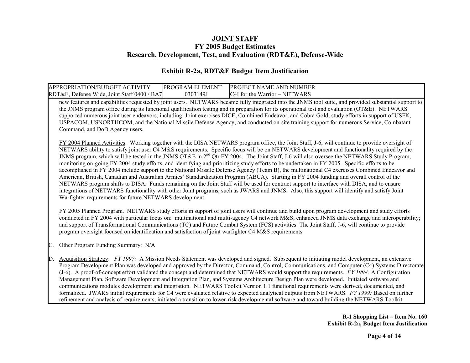### **Exhibit R-2a, RDT&E Budget Item Justification**

| <b>ACTIVITY</b><br>APPROPRIATION/BUDGET         | PROGRAM ELEMENT | <b>PROJECT NAME AND N</b><br><b>NUMBER</b> |
|-------------------------------------------------|-----------------|--------------------------------------------|
| RDT&E, Defense Wide, Joint Staff 0400 /<br>'BA7 | 0303149J        | C4I for the Warrior $-1$<br>– NETWARS      |

new features and capabilities requested by joint users. NETWARS became fully integrated into the JNMS tool suite, and provided substantial support to the JNMS program office during its functional qualification testing and in preparation for its operational test and evaluation (OT&E). NETWARS supported numerous joint user endeavors, including: Joint exercises DICE, Combined Endeavor, and Cobra Gold; study efforts in support of USFK, USPACOM, USNORTHCOM, and the National Missile Defense Agency; and conducted on-site training support for numerous Service, Combatant Command, and DoD Agency users.

FY 2004 Planned Activities. Working together with the DISA NETWARS program office, the Joint Staff, J-6, will continue to provide oversight of NETWARS ability to satisfy joint user C4 M&S requirements. Specific focus will be on NETWARS development and functionality required by the JNMS program, which will be tested in the JNMS OT&E in 2<sup>nd</sup> Otr FY 2004. The Joint Staff, J-6 will also oversee the NETWARS Study Program, monitoring on-going FY 2004 study efforts, and identifying and prioritizing study efforts to be undertaken in FY 2005. Specific efforts to be accomplished in FY 2004 include support to the National Missile Defense Agency (Team B), the multinational C4 exercises Combined Endeavor and American, British, Canadian and Australian Armies' Standardization Program (ABCA). Starting in FY 2004 funding and overall control of the NETWARS program shifts to DISA. Funds remaining on the Joint Staff will be used for contract support to interface with DISA, and to ensure integrations of NETWARS functionality with other Joint programs, such as JWARS and JNMS. Also, this support will identify and satisfy Joint Warfighter requirements for future NETWARS development.

FY 2005 Planned Program. NETWARS study efforts in support of joint users will continue and build upon program development and study efforts conducted in FY 2004 with particular focus on: multinational and multi-agency C4 network M&S; enhanced JNMS data exchange and interoperability; and support of Transformational Communications (TC) and Future Combat System (FCS) activities. The Joint Staff, J-6, will continue to provide program oversight focused on identification and satisfaction of joint warfighter C4 M&S requirements.

Other Program Funding Summary: N/A

D. Acquisition Strategy: *FY 1997:* A Mission Needs Statement was developed and signed. Subsequent to initiating model development, an extensive Program Development Plan was developed and approved by the Director, Command, Control, Communications, and Computer (C4) Systems Directorate (J-6). A proof-of-concept effort validated the concept and determined that NETWARS would support the requirements. *FY 1998:* A Configuration Management Plan, Software Development and Integration Plan, and Systems Architecture Design Plan were developed. Initiated software and communications modules development and integration. NETWARS Toolkit Version 1.1 functional requirements were derived, documented, and formalized. JWARS initial requirements for C4 were evaluated relative to expected analytical outputs from NETWARS. *FY 1999:* Based on further refinement and analysis of requirements, initiated a transition to lower-risk developmental software and toward building the NETWARS Toolkit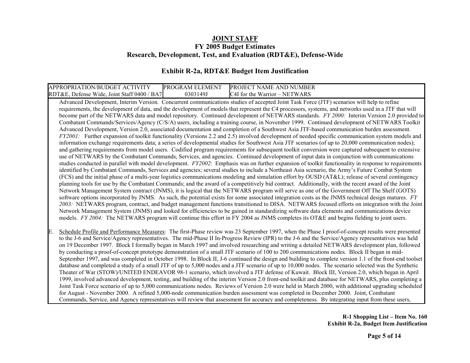### **Exhibit R-2a, RDT&E Budget Item Justification**

| APPROPRIATION/BUDGET<br>. ACTIVITY              | <b>PROGRAM ELEMENT</b> | PROJECT NAME AND NUMBER                       |
|-------------------------------------------------|------------------------|-----------------------------------------------|
| RDT&E, Defense Wide, Joint Staff 0400 /<br>'BA7 | 0303149J               | C <sub>4</sub> I for the Warrior<br>- NETWARS |

Advanced Development, Interim Version. Concurrent communications studies of accepted Joint Task Force (JTF) scenarios will help to refine requirements, the development of data, and the development of models that represent the C4 processors, systems, and networks used in a JTF that will become part of the NETWARS data and model repository. Continued development of NETWARS standards. *FY 2000:* Interim Version 2.0 provided to Combatant Commands/Services/Agency (C/S/A) users, including a training course, in November 1999. Continued development of NETWARS Toolkit Advanced Development, Version 2.0, associated documentation and completion of a Southwest Asia JTF-based communication burden assessment. *FY2001:* Further expansion of toolkit functionality (Versions 2.2 and 2.5) involved development of needed specific communication system models and information exchange requirements data; a series of developmental studies for Southwest Asia JTF scenarios (of up to 20,000 communication nodes); and gathering requirements from model users. Codified program requirements for subsequent toolkit conversion were captured subsequent to extensive use of NETWARS by the Combatant Commands, Services, and agencies. Continued development of input data in conjunction with communications studies conducted in parallel with model development. *FY2002*: Emphasis was on further expansion of toolkit functionality in response to requirements identified by Combatant Commands, Services and agencies; several studies to include a Northeast Asia scenario, the Army's Future Combat System (FCS) and the initial phase of a multi-year logistics communications modeling and simulation effort by OUSD (AT&L); release of several contingency planning tools for use by the Combatant Commands; and the award of a competitively bid contract. Additionally, with the recent award of the Joint Network Management System contract (JNMS), it is logical that the NETWARS program will serve as one of the Government Off The Shelf (GOTS) software options incorporated by JNMS. As such, the potential exists for some associated integration costs as the JNMS technical design matures. *FY 2003:* NETWARS program, contract, and budget management functions transitioned to DISA. NETWARS focused efforts on integration with the Joint Network Management System (JNMS) and looked for efficiencies to be gained in standardizing software data elements and communications device models. *FY 2004*: The NETWARS program will continue this effort in FY 2004 as JNMS completes its OT&E and begins fielding to joint users.

Schedule Profile and Performance Measures: The first-Phase review was 23 September 1997, when the Phase I proof-of-concept results were presented to the J-6 and Service/Agency representatives. The mid-Phase II In-Progress Review (IPR) to the J-6 and the Service/Agency representatives was held on 19 December 1997. Block I formally began in March 1997 and involved researching and writing a detailed NETWARS development plan, followed by conducting a proof-of-concept prototype demonstration of a small JTF scenario of 100 to 200 communications nodes. Block II began in mid-September 1997, and was completed in October 1998. In Block II, J-6 continued the design and building to complete version 1.1 of the front-end toolset database and completed a study of a small JTF of up to 5,000 nodes and a JTF scenario of up to 10,000 nodes. The scenario selected was the Synthetic Theater of War (STOW)/UNITED ENDEAVOR 98-1 scenario, which involved a JTF defense of Kuwait. Block III, Version 2.0, which began in April 1999, involved advanced development, testing, and building of the interim Version 2.0 front-end toolkit and database for NETWARS, plus completing a Joint Task Force scenario of up to 5,000 communications nodes. Reviews of Version 2.0 were held in March 2000, with additional upgrading scheduled for August - November 2000. A refined 5,000-node communication burden assessment was completed in December 2000. Joint, Combatant Commands, Service, and Agency representatives will review that assessment for accuracy and completeness. By integrating input from these users,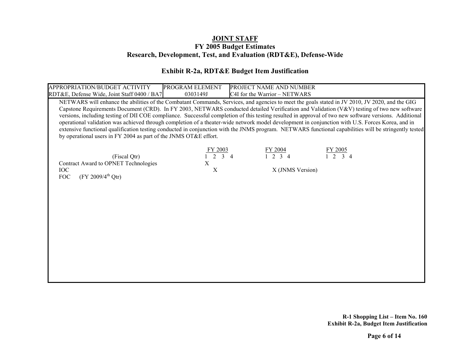### **Exhibit R-2a, RDT&E Budget Item Justification**

| APPROPRIATION/BUDGET ACTIVITY<br>RDT&E, Defense Wide, Joint Staff 0400 / BA7                                                                                                                                                                                                                                                                                                                                                                                                                                                                                                                                                                                                                                                                                                                                                            | PROGRAM ELEMENT<br>0303149J                  | PROJECT NAME AND NUMBER<br>C4I for the Warrior - NETWARS |                                                        |  |
|-----------------------------------------------------------------------------------------------------------------------------------------------------------------------------------------------------------------------------------------------------------------------------------------------------------------------------------------------------------------------------------------------------------------------------------------------------------------------------------------------------------------------------------------------------------------------------------------------------------------------------------------------------------------------------------------------------------------------------------------------------------------------------------------------------------------------------------------|----------------------------------------------|----------------------------------------------------------|--------------------------------------------------------|--|
| NETWARS will enhance the abilities of the Combatant Commands, Services, and agencies to meet the goals stated in JV 2010, JV 2020, and the GIG<br>Capstone Requirements Document (CRD). In FY 2003, NETWARS conducted detailed Verification and Validation (V&V) testing of two new software<br>versions, including testing of DII COE compliance. Successful completion of this testing resulted in approval of two new software versions. Additional<br>operational validation was achieved through completion of a theater-wide network model development in conjunction with U.S. Forces Korea, and in<br>extensive functional qualification testing conducted in conjunction with the JNMS program. NETWARS functional capabilities will be stringently tested<br>by operational users in FY 2004 as part of the JNMS OT&E effort. |                                              |                                                          |                                                        |  |
| (Fiscal Qtr)<br>Contract Award to OPNET Technologies<br><b>IOC</b><br>$(FY 2009/4^{th} Qtr)$<br><b>FOC</b>                                                                                                                                                                                                                                                                                                                                                                                                                                                                                                                                                                                                                                                                                                                              | Y 2003<br>$\overline{3}$<br>X<br>$\mathbf X$ | $\frac{FY 2004}{1 \ 2 \ 3 \ 4}$<br>X (JNMS Version)      | <u>FY 2005</u><br>$\overline{3}$ 4<br>$\overline{1}$ 2 |  |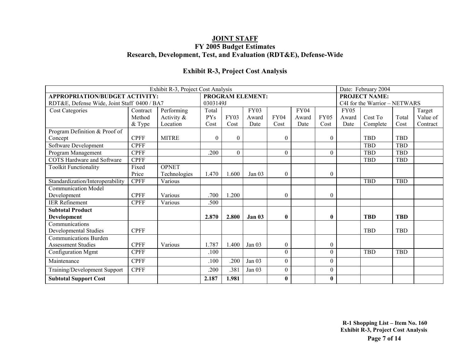### **Exhibit R-3, Project Cost Analysis**

| Exhibit R-3, Project Cost Analysis          |             |               |                |                  |                         |                  |             |              |                               | Date: February 2004 |            |          |  |
|---------------------------------------------|-------------|---------------|----------------|------------------|-------------------------|------------------|-------------|--------------|-------------------------------|---------------------|------------|----------|--|
| <b>APPROPRIATION/BUDGET ACTIVITY:</b>       |             |               |                |                  | <b>PROGRAM ELEMENT:</b> |                  |             |              | <b>PROJECT NAME:</b>          |                     |            |          |  |
| RDT&E, Defense Wide, Joint Staff 0400 / BA7 |             |               | 0303149J       |                  |                         |                  |             |              | C4I for the Warrior - NETWARS |                     |            |          |  |
| <b>Cost Categories</b>                      | Contract    | Performing    | Total          |                  | <b>FY03</b>             |                  | <b>FY04</b> |              | FY05                          |                     |            | Target   |  |
|                                             | Method      | Activity $\&$ | <b>PYs</b>     | <b>FY03</b>      | Award                   | <b>FY04</b>      | Award       | <b>FY05</b>  | Award                         | Cost To             | Total      | Value of |  |
|                                             | & Type      | Location      | Cost           | Cost             | Date                    | Cost             | Date        | Cost         | Date                          | Complete            | Cost       | Contract |  |
| Program Definition & Proof of               |             |               |                |                  |                         |                  |             |              |                               |                     |            |          |  |
| Concept                                     | <b>CPFF</b> | <b>MITRE</b>  | $\overline{0}$ | $\boldsymbol{0}$ |                         | $\mathbf{0}$     |             | $\mathbf{0}$ |                               | <b>TBD</b>          | <b>TBD</b> |          |  |
| Software Development                        | <b>CPFF</b> |               |                |                  |                         |                  |             |              |                               | <b>TBD</b>          | <b>TBD</b> |          |  |
| Program Management                          | <b>CPFF</b> |               | .200           | $\theta$         |                         | $\theta$         |             | $\theta$     |                               | <b>TBD</b>          | <b>TBD</b> |          |  |
| <b>COTS</b> Hardware and Software           | <b>CPFF</b> |               |                |                  |                         |                  |             |              |                               | <b>TBD</b>          | <b>TBD</b> |          |  |
| <b>Toolkit Functionality</b>                | Fixed       | <b>OPNET</b>  |                |                  |                         |                  |             |              |                               |                     |            |          |  |
|                                             | Price       | Technologies  | 1.470          | 1.600            | Jan $03$                | $\mathbf{0}$     |             | $\theta$     |                               |                     |            |          |  |
| Standardization/Interoperability            | <b>CPFF</b> | Various       |                |                  |                         |                  |             |              |                               | <b>TBD</b>          | TBD        |          |  |
| <b>Communication Model</b>                  |             |               |                |                  |                         |                  |             |              |                               |                     |            |          |  |
| Development                                 | <b>CPFF</b> | Various       | .700           | 1.200            |                         | $\theta$         |             | $\theta$     |                               |                     |            |          |  |
| <b>IER</b> Refinement                       | <b>CPFF</b> | Various       | .500           |                  |                         |                  |             |              |                               |                     |            |          |  |
| <b>Subtotal Product</b>                     |             |               |                |                  |                         |                  |             |              |                               |                     |            |          |  |
| Development                                 |             |               | 2.870          | 2.800            | Jan <sub>03</sub>       | $\bf{0}$         |             | $\mathbf{0}$ |                               | <b>TBD</b>          | <b>TBD</b> |          |  |
| Communications                              |             |               |                |                  |                         |                  |             |              |                               |                     |            |          |  |
| Developmental Studies                       | <b>CPFF</b> |               |                |                  |                         |                  |             |              |                               | <b>TBD</b>          | <b>TBD</b> |          |  |
| <b>Communications Burden</b>                |             |               |                |                  |                         |                  |             |              |                               |                     |            |          |  |
| <b>Assessment Studies</b>                   | <b>CPFF</b> | Various       | 1.787          | 1.400            | Jan $03$                | $\boldsymbol{0}$ |             | $\mathbf{0}$ |                               |                     |            |          |  |
| Configuration Mgmt                          | <b>CPFF</b> |               | .100           |                  |                         | $\Omega$         |             | $\theta$     |                               | <b>TBD</b>          | <b>TBD</b> |          |  |
| Maintenance                                 | <b>CPFF</b> |               | .100           | .200             | Jan 03                  | $\mathbf{0}$     |             | $\theta$     |                               |                     |            |          |  |
| Training/Development Support                | <b>CPFF</b> |               | .200           | .381             | Jan 03                  | $\theta$         |             | $\theta$     |                               |                     |            |          |  |
| <b>Subtotal Support Cost</b>                |             |               | 2.187          | 1.981            |                         | $\mathbf{0}$     |             | $\mathbf{0}$ |                               |                     |            |          |  |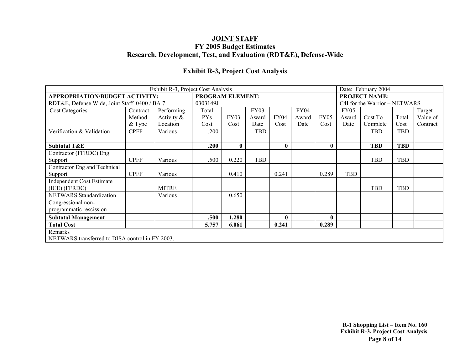### **Exhibit R-3, Project Cost Analysis**

| Exhibit R-3, Project Cost Analysis<br>Date: February 2004 |             |              |                         |              |             |              |       |              |                               |            |            |          |
|-----------------------------------------------------------|-------------|--------------|-------------------------|--------------|-------------|--------------|-------|--------------|-------------------------------|------------|------------|----------|
| <b>APPROPRIATION/BUDGET ACTIVITY:</b>                     |             |              | <b>PROGRAM ELEMENT:</b> |              |             |              |       |              | <b>PROJECT NAME:</b>          |            |            |          |
| RDT&E, Defense Wide, Joint Staff 0400 / BA 7              |             | 0303149J     |                         |              |             |              |       |              | C4I for the Warrior - NETWARS |            |            |          |
| <b>Cost Categories</b>                                    | Contract    | Performing   | Total                   |              | <b>FY03</b> |              | FY04  |              | FY <sub>05</sub>              |            |            | Target   |
|                                                           | Method      | Activity &   | <b>PYs</b>              | FY03         | Award       | FY04         | Award | <b>FY05</b>  | Award                         | Cost To    | Total      | Value of |
|                                                           | $&$ Type    | Location     | Cost                    | Cost         | Date        | Cost         | Date  | Cost         | Date                          | Complete   | Cost       | Contract |
| Verification & Validation                                 | <b>CPFF</b> | Various      | .200                    |              | <b>TBD</b>  |              |       |              |                               | TBD        | TBD        |          |
|                                                           |             |              |                         |              |             |              |       |              |                               |            |            |          |
| <b>Subtotal T&amp;E</b>                                   |             |              | .200                    | $\mathbf{0}$ |             | $\mathbf{0}$ |       | $\mathbf{0}$ |                               | <b>TBD</b> | <b>TBD</b> |          |
| Contractor (FFRDC) Eng                                    |             |              |                         |              |             |              |       |              |                               |            |            |          |
| Support                                                   | <b>CPFF</b> | Various      | .500                    | 0.220        | TBD         |              |       |              |                               | <b>TBD</b> | <b>TBD</b> |          |
| Contractor Eng and Technical                              |             |              |                         |              |             |              |       |              |                               |            |            |          |
| Support                                                   | <b>CPFF</b> | Various      |                         | 0.410        |             | 0.241        |       | 0.289        | <b>TBD</b>                    |            |            |          |
| <b>Independent Cost Estimate</b>                          |             |              |                         |              |             |              |       |              |                               |            |            |          |
| (ICE) (FFRDC)                                             |             | <b>MITRE</b> |                         |              |             |              |       |              |                               | <b>TBD</b> | <b>TBD</b> |          |
| NETWARS Standardization                                   |             | Various      |                         | 0.650        |             |              |       |              |                               |            |            |          |
| Congressional non-                                        |             |              |                         |              |             |              |       |              |                               |            |            |          |
| programmatic rescission                                   |             |              |                         |              |             |              |       |              |                               |            |            |          |
| <b>Subtotal Management</b>                                |             |              | .500                    | 1.280        |             | $\mathbf{0}$ |       | $\mathbf{0}$ |                               |            |            |          |
| <b>Total Cost</b>                                         |             |              | 5.757                   | 6.061        |             | 0.241        |       | 0.289        |                               |            |            |          |
| Remarks                                                   |             |              |                         |              |             |              |       |              |                               |            |            |          |
| NETWARS transferred to DISA control in FY 2003.           |             |              |                         |              |             |              |       |              |                               |            |            |          |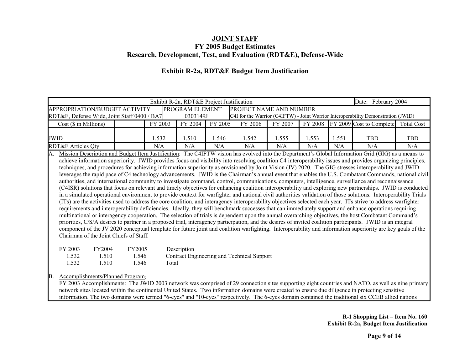### **Exhibit R-2a, RDT&E Budget Item Justification**

| Exhibit R-2a, RDT&E Project Justification<br>Date: February 2004                                                                                                                                                                                                                                                                                                                                                                                                                                                                                                                                                                                                                                                                                                                                                                                                                                                                                                                                                                                                                                                                                                                                                                                                                                                                                                                                                                                                                                                                                                                                                                                                                                                                                                                                                                                                                                                                                                                                |                 |         |                 |         |                                            |         |         |       |                                                                                    |                   |
|-------------------------------------------------------------------------------------------------------------------------------------------------------------------------------------------------------------------------------------------------------------------------------------------------------------------------------------------------------------------------------------------------------------------------------------------------------------------------------------------------------------------------------------------------------------------------------------------------------------------------------------------------------------------------------------------------------------------------------------------------------------------------------------------------------------------------------------------------------------------------------------------------------------------------------------------------------------------------------------------------------------------------------------------------------------------------------------------------------------------------------------------------------------------------------------------------------------------------------------------------------------------------------------------------------------------------------------------------------------------------------------------------------------------------------------------------------------------------------------------------------------------------------------------------------------------------------------------------------------------------------------------------------------------------------------------------------------------------------------------------------------------------------------------------------------------------------------------------------------------------------------------------------------------------------------------------------------------------------------------------|-----------------|---------|-----------------|---------|--------------------------------------------|---------|---------|-------|------------------------------------------------------------------------------------|-------------------|
| APPROPRIATION/BUDGET ACTIVITY                                                                                                                                                                                                                                                                                                                                                                                                                                                                                                                                                                                                                                                                                                                                                                                                                                                                                                                                                                                                                                                                                                                                                                                                                                                                                                                                                                                                                                                                                                                                                                                                                                                                                                                                                                                                                                                                                                                                                                   |                 |         | PROGRAM ELEMENT |         | PROJECT NAME AND NUMBER                    |         |         |       |                                                                                    |                   |
| RDT&E, Defense Wide, Joint Staff 0400 / BA7                                                                                                                                                                                                                                                                                                                                                                                                                                                                                                                                                                                                                                                                                                                                                                                                                                                                                                                                                                                                                                                                                                                                                                                                                                                                                                                                                                                                                                                                                                                                                                                                                                                                                                                                                                                                                                                                                                                                                     |                 |         | 0303149J        |         |                                            |         |         |       | C4I for the Warrior (C4IFTW) - Joint Warrior Interoperability Demonstration (JWID) |                   |
| Cost (\$ in Millions)                                                                                                                                                                                                                                                                                                                                                                                                                                                                                                                                                                                                                                                                                                                                                                                                                                                                                                                                                                                                                                                                                                                                                                                                                                                                                                                                                                                                                                                                                                                                                                                                                                                                                                                                                                                                                                                                                                                                                                           |                 | FY 2003 | FY 2004         | FY 2005 | FY 2006                                    | FY 2007 | FY 2008 |       | FY 2009 Cost to Complete                                                           | <b>Total Cost</b> |
| JWID                                                                                                                                                                                                                                                                                                                                                                                                                                                                                                                                                                                                                                                                                                                                                                                                                                                                                                                                                                                                                                                                                                                                                                                                                                                                                                                                                                                                                                                                                                                                                                                                                                                                                                                                                                                                                                                                                                                                                                                            |                 | 1.532   | 1.510           | 1.546   | 1.542                                      | 1.555   | 1.553   | 1.551 | <b>TBD</b>                                                                         | <b>TBD</b>        |
| <b>RDT&amp;E Articles Qty</b>                                                                                                                                                                                                                                                                                                                                                                                                                                                                                                                                                                                                                                                                                                                                                                                                                                                                                                                                                                                                                                                                                                                                                                                                                                                                                                                                                                                                                                                                                                                                                                                                                                                                                                                                                                                                                                                                                                                                                                   |                 | N/A     | N/A             | N/A     | N/A                                        | N/A     | N/A     | N/A   | N/A                                                                                | N/A               |
| Mission Description and Budget Item Justification: The C4IFTW vision has evolved into the Department's Global Information Grid (GIG) as a means to<br>$\mathsf{A}$ .<br>achieve information superiority. JWID provides focus and visibility into resolving coalition C4 interoperability issues and provides organizing principles,<br>techniques, and procedures for achieving information superiority as envisioned by Joint Vision (JV) 2020. The GIG stresses interoperability and JWID<br>leverages the rapid pace of C4 technology advancements. JWID is the Chairman's annual event that enables the U.S. Combatant Commands, national civil<br>authorities, and international community to investigate command, control, communications, computers, intelligence, surveillance and reconnaissance<br>(C4ISR) solutions that focus on relevant and timely objectives for enhancing coalition interoperability and exploring new partnerships. JWID is conducted<br>in a simulated operational environment to provide context for warfighter and national civil authorities validation of those solutions. Interoperability Trials<br>(ITs) are the activities used to address the core coalition, and interagency interoperability objectives selected each year. ITs strive to address warfighter<br>requirements and interoperability deficiencies. Ideally, they will benchmark successes that can immediately support and enhance operations requiring<br>multinational or interagency cooperation. The selection of trials is dependent upon the annual overarching objectives, the host Combatant Command's<br>priorities, C/S/A desires to partner in a proposed trial, interagency participation, and the desires of invited coalition participants. JWID is an integral<br>component of the JV 2020 conceptual template for future joint and coalition warfighting. Interoperability and information superiority are key goals of the<br>Chairman of the Joint Chiefs of Staff. |                 |         |                 |         |                                            |         |         |       |                                                                                    |                   |
| FY 2003<br>FY2004<br>1.532<br>1.510                                                                                                                                                                                                                                                                                                                                                                                                                                                                                                                                                                                                                                                                                                                                                                                                                                                                                                                                                                                                                                                                                                                                                                                                                                                                                                                                                                                                                                                                                                                                                                                                                                                                                                                                                                                                                                                                                                                                                             | FY2005<br>1.546 |         | Description     |         | Contract Engineering and Technical Support |         |         |       |                                                                                    |                   |

#### B. Accomplishments/Planned Program:

 $1.532$   $1.510$   $1.546$ 

Total

FY 2003 Accomplishments: The JWID 2003 network was comprised of 29 connection sites supporting eight countries and NATO, as well as nine primary network sites located within the continental United States. Two information domains were created to ensure due diligence in protecting sensitive information. The two domains were termed "6-eyes" and "10-eyes" respectively. The 6-eyes domain contained the traditional six CCEB allied nations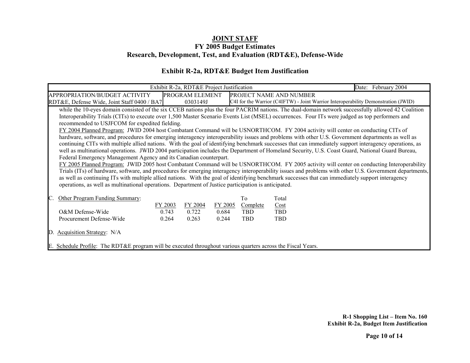### **Exhibit R-2a, RDT&E Budget Item Justification**

|                                                                                                                                                                                                                                                                                                                                                                                                                                                                                                                                                                                                                                                                                                                                                                                                                                                                                                                                                                                   |         | Exhibit R-2a, RDT&E Project Justification |         |                |                         | Date: February 2004                                                                                                                                                                                                                                                                                                                                                                                                                                                                                                                                                                                                   |
|-----------------------------------------------------------------------------------------------------------------------------------------------------------------------------------------------------------------------------------------------------------------------------------------------------------------------------------------------------------------------------------------------------------------------------------------------------------------------------------------------------------------------------------------------------------------------------------------------------------------------------------------------------------------------------------------------------------------------------------------------------------------------------------------------------------------------------------------------------------------------------------------------------------------------------------------------------------------------------------|---------|-------------------------------------------|---------|----------------|-------------------------|-----------------------------------------------------------------------------------------------------------------------------------------------------------------------------------------------------------------------------------------------------------------------------------------------------------------------------------------------------------------------------------------------------------------------------------------------------------------------------------------------------------------------------------------------------------------------------------------------------------------------|
| APPROPRIATION/BUDGET ACTIVITY                                                                                                                                                                                                                                                                                                                                                                                                                                                                                                                                                                                                                                                                                                                                                                                                                                                                                                                                                     |         | PROGRAM ELEMENT                           |         |                | PROJECT NAME AND NUMBER |                                                                                                                                                                                                                                                                                                                                                                                                                                                                                                                                                                                                                       |
| RDT&E, Defense Wide, Joint Staff 0400 / BA7                                                                                                                                                                                                                                                                                                                                                                                                                                                                                                                                                                                                                                                                                                                                                                                                                                                                                                                                       |         | 0303149J                                  |         |                |                         | C4I for the Warrior (C4IFTW) - Joint Warrior Interoperability Demonstration (JWID)                                                                                                                                                                                                                                                                                                                                                                                                                                                                                                                                    |
| Interoperability Trials (CITs) to execute over 1,500 Master Scenario Events List (MSEL) occurrences. Four ITs were judged as top performers and<br>recommended to USJFCOM for expedited fielding.<br>FY 2004 Planned Program: JWID 2004 host Combatant Command will be USNORTHCOM. FY 2004 activity will center on conducting CITs of<br>hardware, software, and procedures for emerging interagency interoperability issues and problems with other U.S. Government departments as well as<br>well as multinational operations. JWID 2004 participation includes the Department of Homeland Security, U.S. Coast Guard, National Guard Bureau,<br>Federal Emergency Management Agency and its Canadian counterpart.<br>as well as continuing ITs with multiple allied nations. With the goal of identifying benchmark successes that can immediately support interagency<br>operations, as well as multinational operations. Department of Justice participation is anticipated. |         |                                           |         |                |                         | while the 10-eyes domain consisted of the six CCEB nations plus the four PACRIM nations. The dual-domain network successfully allowed 42 Coalition<br>continuing CITs with multiple allied nations. With the goal of identifying benchmark successes that can immediately support interagency operations, as<br>FY 2005 Planned Program: JWID 2005 host Combatant Command will be USNORTHCOM. FY 2005 activity will center on conducting Interoperability<br>Trials (ITs) of hardware, software, and procedures for emerging interagency interoperability issues and problems with other U.S. Government departments, |
| Other Program Funding Summary:                                                                                                                                                                                                                                                                                                                                                                                                                                                                                                                                                                                                                                                                                                                                                                                                                                                                                                                                                    | FY 2003 | FY 2004                                   | FY 2005 | To<br>Complete | Total<br>Cost           |                                                                                                                                                                                                                                                                                                                                                                                                                                                                                                                                                                                                                       |
| O&M Defense-Wide                                                                                                                                                                                                                                                                                                                                                                                                                                                                                                                                                                                                                                                                                                                                                                                                                                                                                                                                                                  | 0.743   | 0.722                                     | 0.684   | TBD            | <b>TBD</b>              |                                                                                                                                                                                                                                                                                                                                                                                                                                                                                                                                                                                                                       |
| Procurement Defense-Wide                                                                                                                                                                                                                                                                                                                                                                                                                                                                                                                                                                                                                                                                                                                                                                                                                                                                                                                                                          | 0.264   | 0.263                                     | 0.244   | <b>TBD</b>     | <b>TBD</b>              |                                                                                                                                                                                                                                                                                                                                                                                                                                                                                                                                                                                                                       |
| Acquisition Strategy: N/A<br>$\mathbb{D}_1$                                                                                                                                                                                                                                                                                                                                                                                                                                                                                                                                                                                                                                                                                                                                                                                                                                                                                                                                       |         |                                           |         |                |                         |                                                                                                                                                                                                                                                                                                                                                                                                                                                                                                                                                                                                                       |
| E. Schedule Profile: The RDT&E program will be executed throughout various quarters across the Fiscal Years.                                                                                                                                                                                                                                                                                                                                                                                                                                                                                                                                                                                                                                                                                                                                                                                                                                                                      |         |                                           |         |                |                         |                                                                                                                                                                                                                                                                                                                                                                                                                                                                                                                                                                                                                       |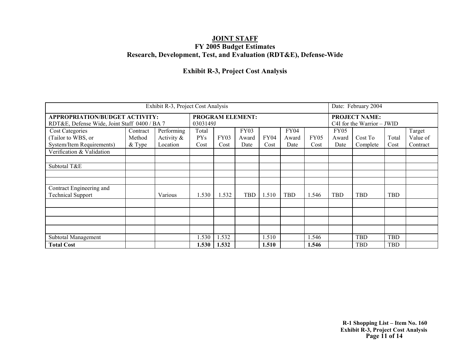### **Exhibit R-3, Project Cost Analysis**

|                                              |          | Date: February 2004 |                      |             |       |       |             |                  |             |                                |            |          |
|----------------------------------------------|----------|---------------------|----------------------|-------------|-------|-------|-------------|------------------|-------------|--------------------------------|------------|----------|
| <b>APPROPRIATION/BUDGET ACTIVITY:</b>        |          |                     | <b>PROJECT NAME:</b> |             |       |       |             |                  |             |                                |            |          |
| RDT&E, Defense Wide, Joint Staff 0400 / BA 7 |          |                     | 0303149J             |             |       |       |             |                  |             | $C4I$ for the Warrior $-$ JWID |            |          |
| <b>Cost Categories</b>                       | Contract | Performing          | Total                |             | FY03  |       | <b>FY04</b> |                  | <b>FY05</b> |                                |            | Target   |
| (Tailor to WBS, or                           | Method   | Activity $\&$       | <b>PYs</b>           | <b>FY03</b> | Award | FY04  | Award       | FY <sub>05</sub> | Award       | Cost To                        | Total      | Value of |
| System/Item Requirements)                    | $&$ Type | Location            | Cost                 | Cost        | Date  | Cost  | Date        | Cost             | Date        | Complete                       | Cost       | Contract |
| Verification & Validation                    |          |                     |                      |             |       |       |             |                  |             |                                |            |          |
|                                              |          |                     |                      |             |       |       |             |                  |             |                                |            |          |
| Subtotal T&E                                 |          |                     |                      |             |       |       |             |                  |             |                                |            |          |
|                                              |          |                     |                      |             |       |       |             |                  |             |                                |            |          |
|                                              |          |                     |                      |             |       |       |             |                  |             |                                |            |          |
| Contract Engineering and                     |          |                     |                      |             |       |       |             |                  |             |                                |            |          |
| <b>Technical Support</b>                     |          | Various             | 1.530                | 1.532       | TBD   | 1.510 | TBD         | .546             | TBD         | TBD                            | <b>TBD</b> |          |
|                                              |          |                     |                      |             |       |       |             |                  |             |                                |            |          |
|                                              |          |                     |                      |             |       |       |             |                  |             |                                |            |          |
|                                              |          |                     |                      |             |       |       |             |                  |             |                                |            |          |
|                                              |          |                     |                      |             |       |       |             |                  |             |                                |            |          |
| Subtotal Management                          |          |                     | .530                 | 1.532       |       | 1.510 |             | 1.546            |             | <b>TBD</b>                     | <b>TBD</b> |          |
| <b>Total Cost</b>                            |          |                     | 1.530                | 1.532       |       | 1.510 |             | 1.546            |             | <b>TBD</b>                     | TBD        |          |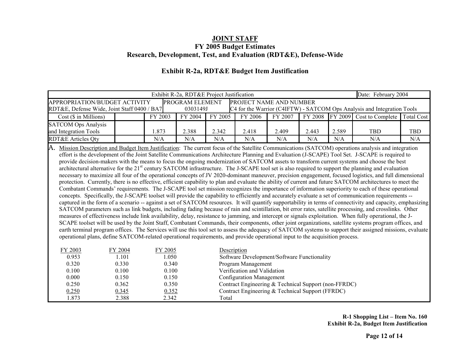|                                             | Exhibit R-2a, RDT&E Project Justification<br>Date: February 2004                   |         |          |         |         |         |       |       |                                                                         |            |
|---------------------------------------------|------------------------------------------------------------------------------------|---------|----------|---------|---------|---------|-------|-------|-------------------------------------------------------------------------|------------|
|                                             | <b>PROGRAM ELEMENT</b><br>PROJECT NAME AND NUMBER<br>APPROPRIATION/BUDGET ACTIVITY |         |          |         |         |         |       |       |                                                                         |            |
| RDT&E, Defense Wide, Joint Staff 0400 / BA7 |                                                                                    |         | 0303149J |         |         |         |       |       | C4 for the Warrior (C4IFTW) - SATCOM Ops Analysis and Integration Tools |            |
| $Cost$ ( $\$\$ in Millions)                 |                                                                                    | FY 2003 | FY 2004  | FY 2005 | FY 2006 | FY 2007 |       |       | FY 2008 FY 2009 Cost to Complete Total Cost                             |            |
| <b>SATCOM Ops Analysis</b>                  |                                                                                    |         |          |         |         |         |       |       |                                                                         |            |
| and Integration Tools                       |                                                                                    | 1.873   | 2.388    | 2.342   | 2.418   | 2.409   | 2.443 | 2.589 | <b>TBD</b>                                                              | <b>TBD</b> |
| RDT&E Articles Qty                          |                                                                                    | N/A     | N/A      | N/A     | N/A     | N/A     | N/A   | N/A   | N/A                                                                     | N/A        |

### **Exhibit R-2a, RDT&E Budget Item Justification**

A. Mission Description and Budget Item Justification: The current focus of the Satellite Communications (SATCOM) operations analysis and integration effort is the development of the Joint Satellite Communications Architecture Planning and Evaluation (J-SCAPE) Tool Set. J-SCAPE is required to provide decision-makers with the means to focus the ongoing modernization of SATCOM assets to transform current systems and choose the best architectural alternative for the 21<sup>st</sup> century SATCOM infrastructure. The J-SCAPE tool set is also required to support the planning and evaluation necessary to maximize all four of the operational concepts of JV 2020-dominant maneuver, precision engagement, focused logistics, and full dimensional protection. Currently, there is no effective, efficient capability to plan and evaluate the ability of current and future SATCOM architectures to meet the Combatant Commands' requirements. The J-SCAPE tool set mission recognizes the importance of information superiority to each of these operational concepts. Specifically, the J-SCAPE toolset will provide the capability to efficiently and accurately evaluate a set of communication requirements - captured in the form of a scenario -- against a set of SATCOM resources. It will quantify supportability in terms of connectivity and capacity, emphasizing SATCOM parameters such as link budgets, including fading because of rain and scintillation, bit error rates, satellite processing, and crosslinks. Other measures of effectiveness include link availability, delay, resistance to jamming, and intercept or signals exploitation. When fully operational, the J-SCAPE toolset will be used by the Joint Staff, Combatant Commands, their components, other joint organizations, satellite systems program offices, and earth terminal program offices. The Services will use this tool set to assess the adequacy of SATCOM systems to support their assigned missions, evaluate operational plans, define SATCOM-related operational requirements, and provide operational input to the acquisition process.

| FY 2003 | FY 2004 | FY 2005 | Description                                          |  |
|---------|---------|---------|------------------------------------------------------|--|
| 0.953   | 1.101   | .050    | Software Development/Software Functionality          |  |
| 0.320   | 0.330   | 0.340   | Program Management                                   |  |
| 0.100   | 0.100   | 0.100   | Verification and Validation                          |  |
| 0.000   | 0.150   | 0.150   | <b>Configuration Management</b>                      |  |
| 0.250   | 0.362   | 0.350   | Contract Engineering & Technical Support (non-FFRDC) |  |
| 0.250   | 0.345   | 0.352   | Contract Engineering & Technical Support (FFRDC)     |  |
| 1.873   | 2.388   | 2.342   | Total                                                |  |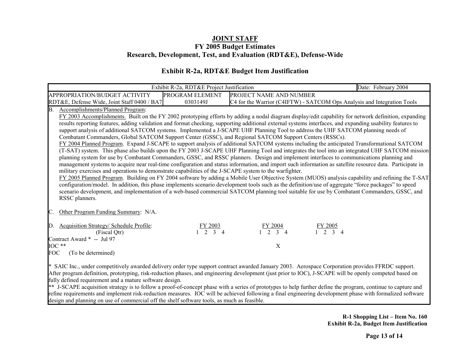### **Exhibit R-2a, RDT&E Budget Item Justification**

|            |                                                                                                                                                                                                                                                                         | Exhibit R-2a, RDT&E Project Justification |                                          | Date: February 2004                                                                                                                                                                                                                                                                                                                                                                                                                                                                                                                                                                                                                                                                                                                                                                                                                                                                                                                                                                                                                                                                                                                                                                                                                                                                                                                                                                                                                                                                                                           |
|------------|-------------------------------------------------------------------------------------------------------------------------------------------------------------------------------------------------------------------------------------------------------------------------|-------------------------------------------|------------------------------------------|-------------------------------------------------------------------------------------------------------------------------------------------------------------------------------------------------------------------------------------------------------------------------------------------------------------------------------------------------------------------------------------------------------------------------------------------------------------------------------------------------------------------------------------------------------------------------------------------------------------------------------------------------------------------------------------------------------------------------------------------------------------------------------------------------------------------------------------------------------------------------------------------------------------------------------------------------------------------------------------------------------------------------------------------------------------------------------------------------------------------------------------------------------------------------------------------------------------------------------------------------------------------------------------------------------------------------------------------------------------------------------------------------------------------------------------------------------------------------------------------------------------------------------|
|            | APPROPRIATION/BUDGET ACTIVITY                                                                                                                                                                                                                                           | PROGRAM ELEMENT                           | PROJECT NAME AND NUMBER                  |                                                                                                                                                                                                                                                                                                                                                                                                                                                                                                                                                                                                                                                                                                                                                                                                                                                                                                                                                                                                                                                                                                                                                                                                                                                                                                                                                                                                                                                                                                                               |
|            | RDT&E, Defense Wide, Joint Staff 0400 / BA7                                                                                                                                                                                                                             | 0303149J                                  |                                          | C4 for the Warrior (C4IFTW) - SATCOM Ops Analysis and Integration Tools                                                                                                                                                                                                                                                                                                                                                                                                                                                                                                                                                                                                                                                                                                                                                                                                                                                                                                                                                                                                                                                                                                                                                                                                                                                                                                                                                                                                                                                       |
| B.         | Accomplishments/Planned Program:<br>Combatant Commanders, Global SATCOM Support Center (GSSC), and Regional SATCOM Support Centers (RSSCs).<br>military exercises and operations to demonstrate capabilities of the J-SCAPE system to the warfighter.<br>RSSC planners. |                                           |                                          | FY 2003 Accomplishments. Built on the FY 2002 prototyping efforts by adding a nodal diagram display/edit capability for network definition, expanding<br>results reporting features, adding validation and format checking, supporting additional external systems interfaces, and expanding usability features to<br>support analysis of additional SATCOM systems. Implemented a J-SCAPE UHF Planning Tool to address the UHF SATCOM planning needs of<br>FY 2004 Planned Program. Expand J-SCAPE to support analysis of additional SATCOM systems including the anticipated Transformational SATCOM<br>(T-SAT) system. This phase also builds upon the FY 2003 J-SCAPE UHF Planning Tool and integrates the tool into an integrated UHF SATCOM mission<br>planning system for use by Combatant Commanders, GSSC, and RSSC planners. Design and implement interfaces to communications planning and<br>management systems to acquire near real-time configuration and status information, and import such information as satellite resource data. Participate in<br>FY 2005 Planned Program. Building on FY 2004 software by adding a Mobile User Objective System (MUOS) analysis capability and refining the T-SAT<br>configuration/model. In addition, this phase implements scenario development tools such as the definition/use of aggregate "force packages" to speed<br>scenario development, and implementation of a web-based commercial SATCOM planning tool suitable for use by Combatant Commanders, GSSC, and |
|            | Other Program Funding Summary: N/A.                                                                                                                                                                                                                                     |                                           |                                          |                                                                                                                                                                                                                                                                                                                                                                                                                                                                                                                                                                                                                                                                                                                                                                                                                                                                                                                                                                                                                                                                                                                                                                                                                                                                                                                                                                                                                                                                                                                               |
| D.         | <b>Acquisition Strategy/ Schedule Profile:</b><br>(Fiscal Qtr)                                                                                                                                                                                                          | <u>FY 2003</u><br>$2 \t3 \t4$             | <u>FY 2004</u><br>$\gamma$<br>$3\quad 4$ | <u>FY 2005</u><br>$\overline{\mathcal{L}}$<br>$\overline{\mathcal{E}}$<br>$\boldsymbol{\varDelta}$                                                                                                                                                                                                                                                                                                                                                                                                                                                                                                                                                                                                                                                                                                                                                                                                                                                                                                                                                                                                                                                                                                                                                                                                                                                                                                                                                                                                                            |
|            | Contract Award * -- Jul 97                                                                                                                                                                                                                                              |                                           |                                          |                                                                                                                                                                                                                                                                                                                                                                                                                                                                                                                                                                                                                                                                                                                                                                                                                                                                                                                                                                                                                                                                                                                                                                                                                                                                                                                                                                                                                                                                                                                               |
| $IOC$ **   |                                                                                                                                                                                                                                                                         |                                           | X                                        |                                                                                                                                                                                                                                                                                                                                                                                                                                                                                                                                                                                                                                                                                                                                                                                                                                                                                                                                                                                                                                                                                                                                                                                                                                                                                                                                                                                                                                                                                                                               |
| <b>FOC</b> | (To be determined)                                                                                                                                                                                                                                                      |                                           |                                          |                                                                                                                                                                                                                                                                                                                                                                                                                                                                                                                                                                                                                                                                                                                                                                                                                                                                                                                                                                                                                                                                                                                                                                                                                                                                                                                                                                                                                                                                                                                               |
|            | fully defined requirement and a mature software design.<br>design and planning on use of commercial off the shelf software tools, as much as feasible.                                                                                                                  |                                           |                                          | * SAIC Inc., under competitively awarded delivery order type support contract awarded January 2003. Aerospace Corporation provides FFRDC support.<br>After program definition, prototyping, risk-reduction phases, and engineering development (just prior to IOC), J-SCAPE will be openly competed based on<br>** J-SCAPE acquisition strategy is to follow a proof-of-concept phase with a series of prototypes to help further define the program, continue to capture and<br>refine requirements and implement risk-reduction measures. IOC will be achieved following a final engineering development phase with formalized software                                                                                                                                                                                                                                                                                                                                                                                                                                                                                                                                                                                                                                                                                                                                                                                                                                                                                     |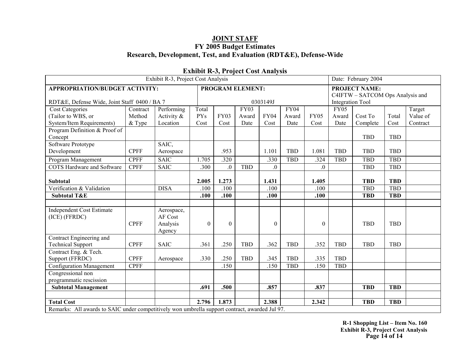|                                                                                                | Exhibit R-3, Project Cost Analysis |             |            |             |                         |                  |             |              |                                  |                      |            |          |
|------------------------------------------------------------------------------------------------|------------------------------------|-------------|------------|-------------|-------------------------|------------------|-------------|--------------|----------------------------------|----------------------|------------|----------|
| <b>APPROPRIATION/BUDGET ACTIVITY:</b>                                                          |                                    |             |            |             | <b>PROGRAM ELEMENT:</b> |                  |             |              |                                  | <b>PROJECT NAME:</b> |            |          |
|                                                                                                |                                    |             |            |             |                         |                  |             |              | C4IFTW - SATCOM Ops Analysis and |                      |            |          |
| RDT&E, Defense Wide, Joint Staff 0400 / BA 7                                                   |                                    |             |            |             |                         | 0303149J         |             |              | <b>Integration Tool</b>          |                      |            |          |
| <b>Cost Categories</b>                                                                         | Contract                           | Performing  | Total      |             | <b>FY03</b>             |                  | <b>FY04</b> |              | <b>FY05</b>                      |                      |            | Target   |
| (Tailor to WBS, or                                                                             | Method                             | Activity &  | <b>PYs</b> | <b>FY03</b> | Award                   | <b>FY04</b>      | Award       | <b>FY05</b>  | Award                            | Cost To              | Total      | Value of |
| System/Item Requirements)                                                                      | & Type                             | Location    | Cost       | Cost        | Date                    | Cost             | Date        | Cost         | Date                             | Complete             | Cost       | Contract |
| Program Definition & Proof of                                                                  |                                    |             |            |             |                         |                  |             |              |                                  |                      |            |          |
| Concept                                                                                        |                                    |             |            |             |                         |                  |             |              |                                  | <b>TBD</b>           | <b>TBD</b> |          |
| Software Prototype                                                                             |                                    | SAIC,       |            |             |                         |                  |             |              |                                  |                      |            |          |
| Development                                                                                    | <b>CPFF</b>                        | Aerospace   |            | .953        |                         | 1.101            | <b>TBD</b>  | 1.081        | <b>TBD</b>                       | <b>TBD</b>           | <b>TBD</b> |          |
| Program Management                                                                             | <b>CPFF</b>                        | <b>SAIC</b> | 1.705      | .320        |                         | .330             | <b>TBD</b>  | .324         | <b>TBD</b>                       | <b>TBD</b>           | <b>TBD</b> |          |
| <b>COTS</b> Hardware and Software                                                              | <b>CPFF</b>                        | <b>SAIC</b> | .300       | $\cdot$     | <b>TBD</b>              | $\overline{0}$ . |             | $\Omega$     |                                  | <b>TBD</b>           | <b>TBD</b> |          |
|                                                                                                |                                    |             |            |             |                         |                  |             |              |                                  |                      |            |          |
| <b>Subtotal</b>                                                                                |                                    |             | 2.005      | 1.273       |                         | 1.431            |             | 1.405        |                                  | <b>TBD</b>           | <b>TBD</b> |          |
| Verification & Validation                                                                      |                                    | <b>DISA</b> | .100       | .100        |                         | .100             |             | .100         |                                  | <b>TBD</b>           | <b>TBD</b> |          |
| <b>Subtotal T&amp;E</b>                                                                        |                                    |             | .100       | .100        |                         | .100             |             | .100         |                                  | <b>TBD</b>           | <b>TBD</b> |          |
|                                                                                                |                                    |             |            |             |                         |                  |             |              |                                  |                      |            |          |
| <b>Independent Cost Estimate</b>                                                               |                                    | Aerospace,  |            |             |                         |                  |             |              |                                  |                      |            |          |
| (ICE) (FFRDC)                                                                                  |                                    | AF Cost     |            |             |                         |                  |             |              |                                  |                      |            |          |
|                                                                                                | <b>CPFF</b>                        | Analysis    | $\theta$   | $\theta$    |                         | $\boldsymbol{0}$ |             | $\mathbf{0}$ |                                  | <b>TBD</b>           | <b>TBD</b> |          |
|                                                                                                |                                    | Agency      |            |             |                         |                  |             |              |                                  |                      |            |          |
| Contract Engineering and                                                                       |                                    |             |            |             |                         |                  |             |              |                                  |                      |            |          |
| <b>Technical Support</b>                                                                       | <b>CPFF</b>                        | <b>SAIC</b> | .361       | .250        | <b>TBD</b>              | .362             | <b>TBD</b>  | .352         | <b>TBD</b>                       | <b>TBD</b>           | <b>TBD</b> |          |
| Contract Eng. & Tech.                                                                          |                                    |             |            |             |                         |                  |             |              |                                  |                      |            |          |
| Support (FFRDC)                                                                                | <b>CPFF</b>                        | Aerospace   | .330       | .250        | <b>TBD</b>              | .345             | <b>TBD</b>  | .335         | <b>TBD</b>                       |                      |            |          |
| Configuration Management                                                                       | <b>CPFF</b>                        |             |            | .150        |                         | .150             | <b>TBD</b>  | .150         | <b>TBD</b>                       |                      |            |          |
| Congressional non                                                                              |                                    |             |            |             |                         |                  |             |              |                                  |                      |            |          |
| programmatic rescission                                                                        |                                    |             |            |             |                         |                  |             |              |                                  |                      |            |          |
| <b>Subtotal Management</b>                                                                     |                                    |             | .691       | .500        |                         | .857             |             | .837         |                                  | <b>TBD</b>           | <b>TBD</b> |          |
|                                                                                                |                                    |             |            |             |                         |                  |             |              |                                  |                      |            |          |
| <b>Total Cost</b>                                                                              |                                    |             | 2.796      | 1.873       |                         | 2.388            |             | 2.342        |                                  | <b>TBD</b>           | <b>TBD</b> |          |
| Remarks: All awards to SAIC under competitively won umbrella support contract, awarded Jul 97. |                                    |             |            |             |                         |                  |             |              |                                  |                      |            |          |

### **Exhibit R-3, Project Cost Analysis**

**R-1 Shopping List – Item No. 160 Exhibit R-3, Project Cost Analysis Page 14 of 14**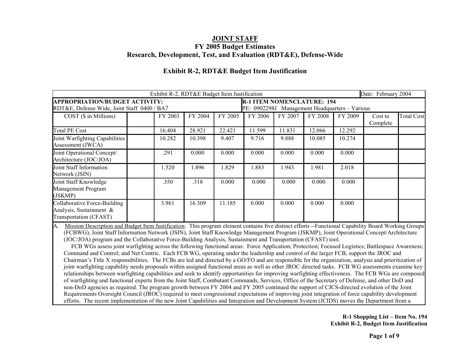|                                                                                      |         | Exhibit R-2, RDT&E Budget Item Justification |         |                                                                                     |         |         |         | Date: February 2004 |                   |
|--------------------------------------------------------------------------------------|---------|----------------------------------------------|---------|-------------------------------------------------------------------------------------|---------|---------|---------|---------------------|-------------------|
| <b>APPROPRIATION/BUDGET ACTIVITY:</b><br>RDT&E, Defense Wide, Joint Staff 0400 / BA7 |         |                                              |         | <b>R-1 ITEM NOMENCLATURE: 194</b><br>PE: 0902298J Management Headquarters – Various |         |         |         |                     |                   |
| $COST$ ( $\$$ in Millions)                                                           | FY 2003 | FY 2004                                      | FY 2005 | FY 2006                                                                             | FY 2007 | FY 2008 | FY 2009 | Cost to<br>Complete | <b>Total Cost</b> |
| <b>Total PE Cost</b>                                                                 | 16.404  | 28.921                                       | 22.421  | 11.599                                                                              | 11.831  | 12.066  | 12.292  |                     |                   |
| Joint Warfighting Capabilities<br>Assessment (JWCA)                                  | 10.282  | 10.398                                       | 9.407   | 9.716                                                                               | 9.888   | 10.085  | 10.274  |                     |                   |
| Joint Operational Concept/<br>Architecture (JOC/JOA)                                 | .291    | 0.000                                        | 0.000   | 0.000                                                                               | 0.000   | 0.000   | 0.000   |                     |                   |
| Joint Staff Information<br>Network (JSIN)                                            | 1.520   | 1.896                                        | 1.829   | 1.883                                                                               | 1.943   | 1.981   | 2.018   |                     |                   |
| Joint Staff Knowledge<br>Management Program<br>(JSKMP)                               | .350    | .318                                         | 0.000   | 0.000                                                                               | 0.000   | 0.000   | 0.000   |                     |                   |
| Collaborative Force-Building<br>Analysis, Sustainment &<br>Transportation (CFAST)    | 3.961   | 16.309                                       | 11.185  | 0.000                                                                               | 0.000   | 0.000   | 0.000   |                     |                   |

### **Exhibit R-2, RDT&E Budget Item Justification**

A. Mission Description and Budget Item Justification: This program element contains five distinct efforts --Functional Capability Board Working Groups (FCBWG), Joint Staff Information Network (JSIN), Joint Staff Knowledge Management Program (JSKMP), Joint Operational Concept/Architecture (JOC/JOA) program and the Collaborative Force-Building Analysis, Sustainment and Transportation (CFAST) tool.

 FCB WGs assess joint warfighting across the following functional areas: Force Application; Protection; Focused Logistics; Battlespace Awareness; Command and Control; and Net Centric. Each FCB WG, operating under the leadership and control of the larger FCB, support the JROC and Chairman's Title X responsibilities. The FCBs are led and directed by a GO/FO and are responsible for the organization, analysis and prioritization of joint warfighting capability needs proposals within assigned functional areas as well as other JROC directed tasks. FCB WG assessments examine key relationships between warfighting capabilities and seek to identify opportunities for improving warfighting effectiveness. The FCB WGs are composed of warfighting and functional experts from the Joint Staff, Combatant Commands, Services, Office of the Secretary of Defense, and other DoD and non-DoD agencies as required. The program growth between FY 2004 and FY 2005 continued the support of CJCS-directed evolution of the Joint Requirements Oversight Council (JROC) required to meet congressional expectations of improving joint integration of force capability development efforts. The recent implementation of the new Joint Capabilities and Integration and Development System (JCIDS) moves the Department from a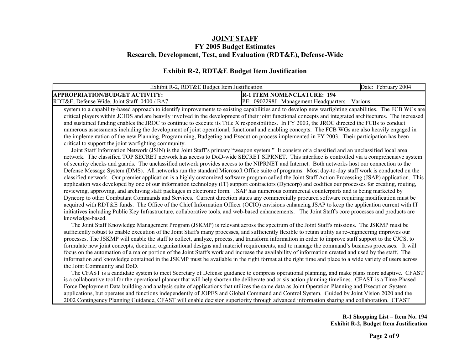#### **Exhibit R-2, RDT&E Budget Item Justification**

| Exhibit R-2. RDT&E Budget Item Justification |                                                | February 2004<br>Date: |
|----------------------------------------------|------------------------------------------------|------------------------|
| <b>APPROPRIATION/BUDGET ACTIVITY:</b>        | <b>R-1 ITEM NOMENCLATURE: 194</b>              |                        |
| RDT&E, Defense Wide, Joint Staff 0400 / BA7  | PE.<br>0902298J<br>Management Headquarters – V | Various                |

system to a capability-based approach to identify improvements to existing capabilities and to develop new warfighting capabilities. The FCB WGs are critical players within JCIDS and are heavily involved in the development of their joint functional concepts and integrated architectures. The increased and sustained funding enables the JROC to continue to execute its Title X responsibilities. In FY 2003, the JROC directed the FCBs to conduct numerous assessments including the development of joint operational, functional and enabling concepts. The FCB WGs are also heavily engaged in the implementation of the new Planning, Programming, Budgeting and Execution process implemented in FY 2003. Their participation has been critical to support the joint warfighting community.

 Joint Staff Information Network (JSIN) is the Joint Staff's primary "weapon system." It consists of a classified and an unclassified local area network. The classified TOP SECRET network has access to DoD-wide SECRET SIPRNET. This interface is controlled via a comprehensive system of security checks and guards. The unclassified network provides access to the NIPRNET and Internet. Both networks host our connection to the Defense Message System (DMS). All networks run the standard Microsoft Office suite of programs. Most day-to-day staff work is conducted on the classified network. Our premier application is a highly customized software program called the Joint Staff Action Processing (JSAP) application. This application was developed by one of our information technology (IT) support contractors (Dyncorp) and codifies our processes for creating, routing, reviewing, approving, and archiving staff packages in electronic form. JSAP has numerous commercial counterparts and is being marketed by Dyncorp to other Combatant Commands and Services. Current direction states any commercially procured software requiring modification must be acquired with RDT&E funds. The Office of the Chief Information Officer (OCIO) envisions enhancing JSAP to keep the application current with IT initiatives including Public Key Infrastructure, collaborative tools, and web-based enhancements. The Joint Staff's core processes and products are knowledge-based.

 The Joint Staff Knowledge Management Program (JSKMP) is relevant across the spectrum of the Joint Staff's missions. The JSKMP must be sufficiently robust to enable execution of the Joint Staff's many processes, and sufficiently flexible to retain utility as re-engineering improves our processes. The JSKMP will enable the staff to collect, analyze, process, and transform information in order to improve staff support to the CJCS, to formulate new joint concepts, doctrine, organizational designs and materiel requirements, and to manage the command's business processes. It will focus on the automation of a major portion of the Joint Staff's work and increase the availability of information created and used by the staff. The information and knowledge contained in the JSKMP must be available in the right format at the right time and place to a wide variety of users across the Joint Community and DoD.

 The CFAST is a candidate system to meet Secretary of Defense guidance to compress operational planning, and make plans more adaptive. CFAST is a collaborative tool for the operational planner that will help shorten the deliberate and crisis action planning timelines. CFAST is a Time-Phased Force Deployment Data building and analysis suite of applications that utilizes the same data as Joint Operation Planning and Execution System applications, but operates and functions independently of JOPES and Global Command and Control System. Guided by Joint Vision 2020 and the 2002 Contingency Planning Guidance, CFAST will enable decision superiority through advanced information sharing and collaboration. CFAST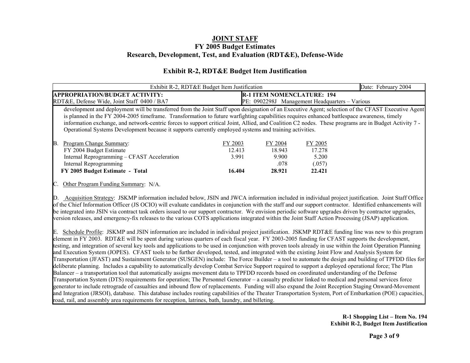### **Exhibit R-2, RDT&E Budget Item Justification**

|                                                                                                                                                                                                                                                                                                                                                                                                                                                                                                                                                                       | Exhibit R-2, RDT&E Budget Item Justification |                                              |                                                | Date: February 2004 |
|-----------------------------------------------------------------------------------------------------------------------------------------------------------------------------------------------------------------------------------------------------------------------------------------------------------------------------------------------------------------------------------------------------------------------------------------------------------------------------------------------------------------------------------------------------------------------|----------------------------------------------|----------------------------------------------|------------------------------------------------|---------------------|
| <b>APPROPRIATION/BUDGET ACTIVITY:</b>                                                                                                                                                                                                                                                                                                                                                                                                                                                                                                                                 |                                              | <b>R-1 ITEM NOMENCLATURE: 194</b>            |                                                |                     |
| RDT&E, Defense Wide, Joint Staff 0400 / BA7                                                                                                                                                                                                                                                                                                                                                                                                                                                                                                                           |                                              |                                              | PE: 0902298J Management Headquarters – Various |                     |
| development and deployment will be transferred from the Joint Staff upon designation of an Executive Agent; selection of the CFAST Executive Agent<br>is planned in the FY 2004-2005 timeframe. Transformation to future warfighting capabilities requires enhanced battlespace awareness, timely<br>information exchange, and network-centric forces to support critical Joint, Allied, and Coalition C2 nodes. These programs are in Budget Activity 7 -<br>Operational Systems Development because it supports currently employed systems and training activities. |                                              |                                              |                                                |                     |
| Program Change Summary:<br>IB.<br>FY 2004 Budget Estimate<br>Internal Reprogramming – CFAST Acceleration<br>Internal Reprogramming<br>FY 2005 Budget Estimate - Total                                                                                                                                                                                                                                                                                                                                                                                                 | FY 2003<br>12.413<br>3.991<br>16.404         | FY 2004<br>18.943<br>9.900<br>.078<br>28.921 | FY 2005<br>17.278<br>5.200<br>(.057)<br>22.421 |                     |
| Other Program Funding Summary: N/A.<br>Acquisition Strategy: JSKMP information included below, JSIN and JWCA information included in individual project justification. Joint Staff Office<br>$\mathbb{D}$ .                                                                                                                                                                                                                                                                                                                                                           |                                              |                                              |                                                |                     |
| of the Chief Information Officer (JS OCIO) will evaluate candidates in conjunction with the staff and our support contractor. Identified enhancements will<br>be integrated into JSIN via contract task orders issued to our support contractor. We envision periodic software upgrades driven by contractor upgrades,                                                                                                                                                                                                                                                |                                              |                                              |                                                |                     |

E. Schedule Profile: JSKMP and JSIN information are included in individual project justification. JSKMP RDT&E funding line was new to this program element in FY 2003. RDT&E will be spent during various quarters of each fiscal year. FY 2003-2005 funding for CFAST supports the development, testing, and integration of several key tools and applications to be used in conjunction with proven tools already in use within the Joint Operation Planning and Execution System (JOPES). CFAST tools to be further developed, tested, and integrated with the existing Joint Flow and Analysis System for Transportation (JFAST) and Sustainment Generator (SUSGEN) include: The Force Builder – a tool to automate the design and building of TPFDD files for deliberate planning. Includes a capability to automatically develop Combat Service Support required to support a deployed operational force; The Plan Balancer – a transportation tool that automatically assigns movement data to TPFDD records based on coordinated understanding of the Defense Transportation System (DTS) requirements for operation; The Personnel Generator – a casualty predictor linked to medical and personal services force generator to include retrograde of casualties and inbound flow of replacements. Funding will also expand the Joint Reception Staging Onward-Movement and Integration (JRSOI), database. This database includes routing capabilities of the Theater Transportation System, Port of Embarkation (POE) capacities, road, rail, and assembly area requirements for reception, latrines, bath, laundry, and billeting.

version releases, and emergency-fix releases to the various COTS applications integrated within the Joint Staff Action Processing (JSAP) application.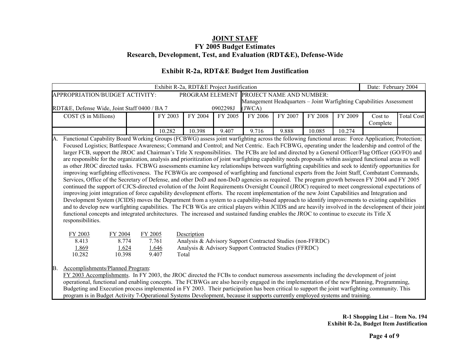### **Exhibit R-2a, RDT&E Budget Item Justification**

|     |                                                                                                                                                                                                                                                                                                                                                                                                                                                                                                                                                                                                                                                                                                                                                                                                                                                                                                                                                                                                                                                                                                                                                                                                                                                                                                                                                                                                                                                                                                                                                                                                                                                                                                                                                                                                                                                                   |         |                                  | Exhibit R-2a, RDT&E Project Justification |          |                                                                                                                      |         |         |         | Date: February 2004                                                 |                   |
|-----|-------------------------------------------------------------------------------------------------------------------------------------------------------------------------------------------------------------------------------------------------------------------------------------------------------------------------------------------------------------------------------------------------------------------------------------------------------------------------------------------------------------------------------------------------------------------------------------------------------------------------------------------------------------------------------------------------------------------------------------------------------------------------------------------------------------------------------------------------------------------------------------------------------------------------------------------------------------------------------------------------------------------------------------------------------------------------------------------------------------------------------------------------------------------------------------------------------------------------------------------------------------------------------------------------------------------------------------------------------------------------------------------------------------------------------------------------------------------------------------------------------------------------------------------------------------------------------------------------------------------------------------------------------------------------------------------------------------------------------------------------------------------------------------------------------------------------------------------------------------------|---------|----------------------------------|-------------------------------------------|----------|----------------------------------------------------------------------------------------------------------------------|---------|---------|---------|---------------------------------------------------------------------|-------------------|
|     | APPROPRIATION/BUDGET ACTIVITY:                                                                                                                                                                                                                                                                                                                                                                                                                                                                                                                                                                                                                                                                                                                                                                                                                                                                                                                                                                                                                                                                                                                                                                                                                                                                                                                                                                                                                                                                                                                                                                                                                                                                                                                                                                                                                                    |         |                                  |                                           |          | PROGRAM ELEMENT PROJECT NAME AND NUMBER:                                                                             |         |         |         |                                                                     |                   |
|     |                                                                                                                                                                                                                                                                                                                                                                                                                                                                                                                                                                                                                                                                                                                                                                                                                                                                                                                                                                                                                                                                                                                                                                                                                                                                                                                                                                                                                                                                                                                                                                                                                                                                                                                                                                                                                                                                   |         |                                  |                                           |          |                                                                                                                      |         |         |         | Management Headquarters - Joint Warfighting Capabilities Assessment |                   |
|     | RDT&E, Defense Wide, Joint Staff 0400 / BA 7                                                                                                                                                                                                                                                                                                                                                                                                                                                                                                                                                                                                                                                                                                                                                                                                                                                                                                                                                                                                                                                                                                                                                                                                                                                                                                                                                                                                                                                                                                                                                                                                                                                                                                                                                                                                                      |         |                                  |                                           | 0902298J | (JWCA)                                                                                                               |         |         |         |                                                                     |                   |
|     | $COST$ ( $$$ in Millions)                                                                                                                                                                                                                                                                                                                                                                                                                                                                                                                                                                                                                                                                                                                                                                                                                                                                                                                                                                                                                                                                                                                                                                                                                                                                                                                                                                                                                                                                                                                                                                                                                                                                                                                                                                                                                                         |         | FY 2003                          | FY 2004                                   | FY 2005  | FY 2006                                                                                                              | FY 2007 | FY 2008 | FY 2009 | Cost to<br>Complete                                                 | <b>Total Cost</b> |
|     |                                                                                                                                                                                                                                                                                                                                                                                                                                                                                                                                                                                                                                                                                                                                                                                                                                                                                                                                                                                                                                                                                                                                                                                                                                                                                                                                                                                                                                                                                                                                                                                                                                                                                                                                                                                                                                                                   |         | 10.282                           | 10.398                                    | 9.407    | 9.716                                                                                                                | 9.888   | 10.085  | 10.274  |                                                                     |                   |
| A.  | Functional Capability Board Working Groups (FCBWG) assess joint warfighting across the following functional areas: Force Application; Protection;<br>Focused Logistics; Battlespace Awareness; Command and Control; and Net Centric. Each FCBWG, operating under the leadership and control of the<br>larger FCB, support the JROC and Chairman's Title X responsibilities. The FCBs are led and directed by a General Officer/Flag Officer (GO/FO) and<br>are responsible for the organization, analysis and prioritization of joint warfighting capability needs proposals within assigned functional areas as well<br>as other JROC directed tasks. FCBWG assessments examine key relationships between warfighting capabilities and seek to identify opportunities for<br>improving warfighting effectiveness. The FCBWGs are composed of warfighting and functional experts from the Joint Staff, Combatant Commands,<br>Services, Office of the Secretary of Defense, and other DoD and non-DoD agencies as required. The program growth between FY 2004 and FY 2005<br>continued the support of CJCS-directed evolution of the Joint Requirements Oversight Council (JROC) required to meet congressional expectations of<br>improving joint integration of force capability development efforts. The recent implementation of the new Joint Capabilities and Integration and<br>Development System (JCIDS) moves the Department from a system to a capability-based approach to identify improvements to existing capabilities<br>and to develop new warfighting capabilities. The FCB WGs are critical players within JCIDS and are heavily involved in the development of their joint<br>functional concepts and integrated architectures. The increased and sustained funding enables the JROC to continue to execute its Title X<br>responsibilities. |         |                                  |                                           |          |                                                                                                                      |         |         |         |                                                                     |                   |
|     | FY 2003<br>FY 2004<br>8.413<br>8.774<br>1.869<br>1.624<br>10.282<br>10.398                                                                                                                                                                                                                                                                                                                                                                                                                                                                                                                                                                                                                                                                                                                                                                                                                                                                                                                                                                                                                                                                                                                                                                                                                                                                                                                                                                                                                                                                                                                                                                                                                                                                                                                                                                                        | FY 2005 | 7.761<br>1.646<br>9.407<br>Total | Description                               |          | Analysis & Advisory Support Contracted Studies (non-FFRDC)<br>Analysis & Advisory Support Contracted Studies (FFRDC) |         |         |         |                                                                     |                   |
| IB. | Accomplishments/Planned Program:<br>FY 2003 Accomplishments. In FY 2003, the JROC directed the FCBs to conduct numerous assessments including the development of joint<br>operational, functional and enabling concepts. The FCBWGs are also heavily engaged in the implementation of the new Planning, Programming,<br>Budgeting and Execution process implemented in FY 2003. Their participation has been critical to support the joint warfighting community. This<br>program is in Budget Activity 7-Operational Systems Development, because it supports currently employed systems and training.                                                                                                                                                                                                                                                                                                                                                                                                                                                                                                                                                                                                                                                                                                                                                                                                                                                                                                                                                                                                                                                                                                                                                                                                                                                           |         |                                  |                                           |          |                                                                                                                      |         |         |         |                                                                     |                   |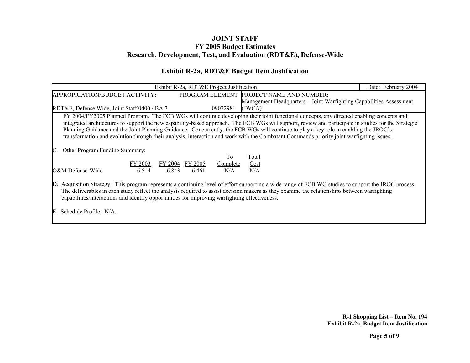### **Exhibit R-2a, RDT&E Budget Item Justification**

| Exhibit R-2a, RDT&E Project Justification                                                                                                                                                                                                                                                                           | Date: February 2004                                                                                                                      |  |  |  |  |  |  |  |  |
|---------------------------------------------------------------------------------------------------------------------------------------------------------------------------------------------------------------------------------------------------------------------------------------------------------------------|------------------------------------------------------------------------------------------------------------------------------------------|--|--|--|--|--|--|--|--|
| PROGRAM ELEMENT PROJECT NAME AND NUMBER:<br>APPROPRIATION/BUDGET ACTIVITY:                                                                                                                                                                                                                                          |                                                                                                                                          |  |  |  |  |  |  |  |  |
| Management Headquarters – Joint Warfighting Capabilities Assessment                                                                                                                                                                                                                                                 |                                                                                                                                          |  |  |  |  |  |  |  |  |
| RDT&E, Defense Wide, Joint Staff 0400 / BA 7<br>0902298J<br>(JWCA)                                                                                                                                                                                                                                                  |                                                                                                                                          |  |  |  |  |  |  |  |  |
|                                                                                                                                                                                                                                                                                                                     | FY 2004/FY2005 Planned Program. The FCB WGs will continue developing their joint functional concepts, any directed enabling concepts and |  |  |  |  |  |  |  |  |
| integrated architectures to support the new capability-based approach. The FCB WGs will support, review and participate in studies for the Strategic                                                                                                                                                                |                                                                                                                                          |  |  |  |  |  |  |  |  |
| Planning Guidance and the Joint Planning Guidance. Concurrently, the FCB WGs will continue to play a key role in enabling the JROC's                                                                                                                                                                                |                                                                                                                                          |  |  |  |  |  |  |  |  |
| transformation and evolution through their analysis, interaction and work with the Combatant Commands priority joint warfighting issues.                                                                                                                                                                            |                                                                                                                                          |  |  |  |  |  |  |  |  |
|                                                                                                                                                                                                                                                                                                                     |                                                                                                                                          |  |  |  |  |  |  |  |  |
| <b>Other Program Funding Summary:</b>                                                                                                                                                                                                                                                                               |                                                                                                                                          |  |  |  |  |  |  |  |  |
| T <sub>0</sub><br>Total                                                                                                                                                                                                                                                                                             |                                                                                                                                          |  |  |  |  |  |  |  |  |
| FY 2003<br>FY 2005<br>FY 2004<br>$\frac{\text{Cost}}{\text{Cost}}$<br>Complete                                                                                                                                                                                                                                      |                                                                                                                                          |  |  |  |  |  |  |  |  |
| O&M Defense-Wide<br>N/A<br>N/A<br>6.514<br>6.843<br>6.461                                                                                                                                                                                                                                                           |                                                                                                                                          |  |  |  |  |  |  |  |  |
|                                                                                                                                                                                                                                                                                                                     |                                                                                                                                          |  |  |  |  |  |  |  |  |
| Acquisition Strategy: This program represents a continuing level of effort supporting a wide range of FCB WG studies to support the JROC process.<br>$\mathbb{D}$ .<br>The deliverables in each study reflect the analysis required to assist decision makers as they examine the relationships between warfighting |                                                                                                                                          |  |  |  |  |  |  |  |  |
| capabilities/interactions and identify opportunities for improving warfighting effectiveness.                                                                                                                                                                                                                       |                                                                                                                                          |  |  |  |  |  |  |  |  |
|                                                                                                                                                                                                                                                                                                                     |                                                                                                                                          |  |  |  |  |  |  |  |  |
| Schedule Profile: N/A.                                                                                                                                                                                                                                                                                              |                                                                                                                                          |  |  |  |  |  |  |  |  |
|                                                                                                                                                                                                                                                                                                                     |                                                                                                                                          |  |  |  |  |  |  |  |  |
|                                                                                                                                                                                                                                                                                                                     |                                                                                                                                          |  |  |  |  |  |  |  |  |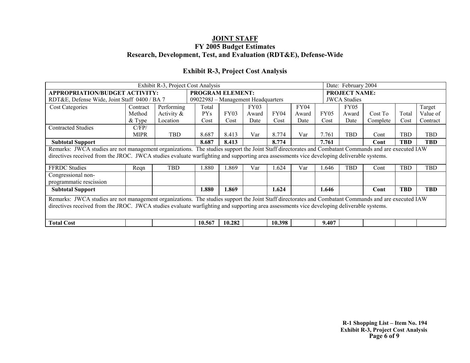### **Exhibit R-3, Project Cost Analysis**

|                                                                                                                                                      | Exhibit R-3, Project Cost Analysis                                                                                                        |               |                                    |        |             |             |             |             | Date: February 2004  |          |            |            |
|------------------------------------------------------------------------------------------------------------------------------------------------------|-------------------------------------------------------------------------------------------------------------------------------------------|---------------|------------------------------------|--------|-------------|-------------|-------------|-------------|----------------------|----------|------------|------------|
| APPROPRIATION/BUDGET ACTIVITY:                                                                                                                       |                                                                                                                                           |               | <b>PROGRAM ELEMENT:</b>            |        |             |             |             |             | <b>PROJECT NAME:</b> |          |            |            |
| RDT&E, Defense Wide, Joint Staff 0400 / BA 7                                                                                                         |                                                                                                                                           |               | 0902298J - Management Headquarters |        |             |             |             |             | <b>JWCA Studies</b>  |          |            |            |
| <b>Cost Categories</b>                                                                                                                               | Contract                                                                                                                                  | Performing    | Total                              |        | <b>FY03</b> |             | <b>FY04</b> |             | <b>FY05</b>          |          |            | Target     |
|                                                                                                                                                      | Method                                                                                                                                    | Activity $\&$ | <b>PYs</b>                         | FY03   | Award       | <b>FY04</b> | Award       | <b>FY05</b> | Award                | Cost To  | Total      | Value of   |
|                                                                                                                                                      | $&$ Type                                                                                                                                  | Location      | Cost                               | Cost   | Date        | Cost        | Date        | Cost        | Date                 | Complete | Cost       | Contract   |
| <b>Contracted Studies</b>                                                                                                                            | C/FP/                                                                                                                                     |               |                                    |        |             |             |             |             |                      |          |            |            |
|                                                                                                                                                      | <b>MIPR</b>                                                                                                                               | <b>TBD</b>    | 8.687                              | 8.413  | Var         | 8.774       | Var         | 7.761       | TBD                  | Cont     | TBD        | <b>TBD</b> |
| <b>Subtotal Support</b>                                                                                                                              |                                                                                                                                           |               | 8.687                              | 8.413  |             | 8.774       |             | 7.761       |                      | Cont     | <b>TBD</b> | <b>TBD</b> |
| Remarks: JWCA studies are not management organizations. The studies support the Joint Staff directorates and Combatant Commands and are executed IAW |                                                                                                                                           |               |                                    |        |             |             |             |             |                      |          |            |            |
| directives received from the JROC. JWCA studies evaluate warfighting and supporting area assessments vice developing deliverable systems.            |                                                                                                                                           |               |                                    |        |             |             |             |             |                      |          |            |            |
| <b>FFRDC</b> Studies                                                                                                                                 | Reqn                                                                                                                                      | <b>TBD</b>    | l.880                              | .869   | Var         | .624        | Var         | .646        | <b>TBD</b>           | Cont     | TBD        | <b>TBD</b> |
| Congressional non-                                                                                                                                   |                                                                                                                                           |               |                                    |        |             |             |             |             |                      |          |            |            |
| programmatic rescission                                                                                                                              |                                                                                                                                           |               |                                    |        |             |             |             |             |                      |          |            |            |
| <b>Subtotal Support</b>                                                                                                                              |                                                                                                                                           |               | 1.880                              | 1.869  |             | 1.624       |             | 1.646       |                      | Cont     | <b>TBD</b> | <b>TBD</b> |
| Remarks: JWCA studies are not management organizations. The studies support the Joint Staff directorates and Combatant Commands and are executed IAW |                                                                                                                                           |               |                                    |        |             |             |             |             |                      |          |            |            |
|                                                                                                                                                      | directives received from the JROC. JWCA studies evaluate warfighting and supporting area assessments vice developing deliverable systems. |               |                                    |        |             |             |             |             |                      |          |            |            |
|                                                                                                                                                      |                                                                                                                                           |               |                                    |        |             |             |             |             |                      |          |            |            |
| <b>Total Cost</b>                                                                                                                                    |                                                                                                                                           |               | 10.567                             | 10.282 |             | 10.398      |             | 9.407       |                      |          |            |            |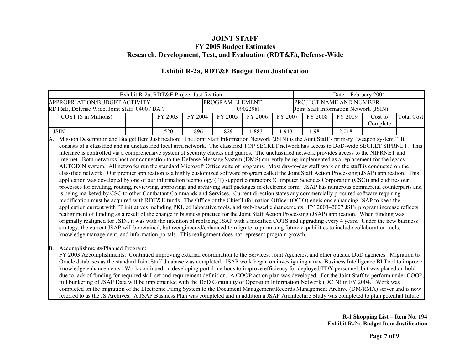### **Exhibit R-2a, RDT&E Budget Item Justification**

|                                              | Exhibit R-2a, RDT&E Project Justification |         |          |                        |         |         |                                | Date: February 2004                    |          |                   |  |
|----------------------------------------------|-------------------------------------------|---------|----------|------------------------|---------|---------|--------------------------------|----------------------------------------|----------|-------------------|--|
| APPROPRIATION/BUDGET ACTIVITY                |                                           |         |          | <b>PROGRAM ELEMENT</b> |         |         | <b>PROJECT NAME AND NUMBER</b> |                                        |          |                   |  |
| RDT&E, Defense Wide, Joint Staff 0400 / BA 7 |                                           |         | 0902298J |                        |         |         |                                | Joint Staff Information Network (JSIN) |          |                   |  |
| $COST$ ( $\$$ in Millions)                   |                                           | FY 2003 | FY 2004  | FY 2005                | FY 2006 | FY 2007 | FY 2008                        | FY 2009                                | Cost to  | <b>Total Cost</b> |  |
|                                              |                                           |         |          |                        |         |         |                                |                                        | Complete |                   |  |
| <b>JSIN</b>                                  |                                           | . .520  | .896     | .829                   | .883    | .943    | .981                           | 2.018                                  |          |                   |  |

A. Mission Description and Budget Item Justification: The Joint Staff Information Network (JSIN) is the Joint Staff's primary "weapon system." It consists of a classified and an unclassified local area network. The classified TOP SECRET network has access to DoD-wide SECRET SIPRNET. This interface is controlled via a comprehensive system of security checks and guards. The unclassified network provides access to the NIPRNET and Internet. Both networks host our connection to the Defense Message System (DMS) currently being implemented as a replacement for the legacy AUTODIN system. All networks run the standard Microsoft Office suite of programs. Most day-to-day staff work on the staff is conducted on the classified network. Our premier application is a highly customized software program called the Joint Staff Action Processing (JSAP) application. This application was developed by one of our information technology (IT) support contractors (Computer Sciences Corporation (CSC)) and codifies our processes for creating, routing, reviewing, approving, and archiving staff packages in electronic form. JSAP has numerous commercial counterparts and is being marketed by CSC to other Combatant Commands and Services. Current direction states any commercially procured software requiring modification must be acquired with RDT&E funds. The Office of the Chief Information Officer (OCIO) envisions enhancing JSAP to keep the application current with IT initiatives including PKI, collaborative tools, and web-based enhancements. FY 2003–2007 JSIN program increase reflects realignment of funding as a result of the change in business practice for the Joint Staff Action Processing (JSAP) application. When funding was originally realigned for JSIN, it was with the intention of replacing JSAP with a modified COTS and upgrading every 4 years. Under the new business strategy, the current JSAP will be retained, but reengineered/enhanced to migrate to promising future capabilities to include collaboration tools, knowledge management, and information portals. This realignment does not represent program growth.

#### B. Accomplishments/Planned Program:

FY 2003 Accomplishments: Continued improving external coordination to the Services, Joint Agencies, and other outside DoD agencies. Migration to Oracle databases as the standard Joint Staff database was completed. JSAP work began on investigating a new Business Intelligence BI Tool to improve knowledge enhancements. Work continued on developing portal methods to improve efficiency for deployed/TDY personnel, but was placed on hold due to lack of funding for required skill set and requirement definition. A COOP action plan was developed. For the Joint Staff to perform under COOP, full bunkering of JSAP Data will be implemented with the DoD Continuity of Operation Information Network (DCIN) in FY 2004. Work was completed on the migration of the Electronic Filing System to the Document Management/Records Management Archive (DM/RMA) server and is now referred to as the JS Archives. A JSAP Business Plan was completed and in addition a JSAP Architecture Study was completed to plan potential future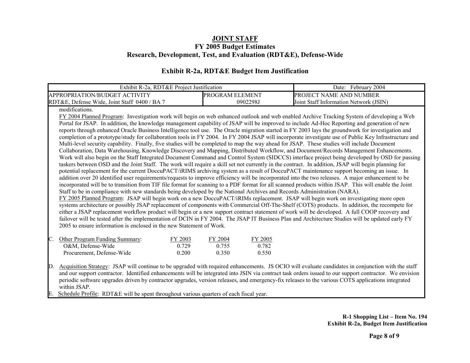### **Exhibit R-2a, RDT&E Budget Item Justification**

| Exhibit R-2a, RDT&E Project Justification                                                                                                             |                    | Date: February 2004                                                                                                                                     |  |  |  |  |  |  |  |  |  |
|-------------------------------------------------------------------------------------------------------------------------------------------------------|--------------------|---------------------------------------------------------------------------------------------------------------------------------------------------------|--|--|--|--|--|--|--|--|--|
| APPROPRIATION/BUDGET ACTIVITY                                                                                                                         | PROGRAM ELEMENT    | PROJECT NAME AND NUMBER                                                                                                                                 |  |  |  |  |  |  |  |  |  |
| RDT&E, Defense Wide, Joint Staff 0400 / BA 7                                                                                                          | 0902298J           | Joint Staff Information Network (JSIN)                                                                                                                  |  |  |  |  |  |  |  |  |  |
| modifications.                                                                                                                                        |                    |                                                                                                                                                         |  |  |  |  |  |  |  |  |  |
|                                                                                                                                                       |                    | FY 2004 Planned Program: Investigation work will begin on web enhanced outlook and web enabled Archive Tracking System of developing a Web              |  |  |  |  |  |  |  |  |  |
|                                                                                                                                                       |                    | Portal for JSAP. In addition, the knowledge management capability of JSAP will be improved to include Ad-Hoc Reporting and generation of new            |  |  |  |  |  |  |  |  |  |
| reports through enhanced Oracle Business Intelligence tool use. The Oracle migration started in FY 2003 lays the groundwork for investigation and     |                    |                                                                                                                                                         |  |  |  |  |  |  |  |  |  |
| completion of a prototype/study for collaboration tools in FY 2004. In FY 2004 JSAP will incorporate investigate use of Public Key Infrastructure and |                    |                                                                                                                                                         |  |  |  |  |  |  |  |  |  |
| Multi-level security capability. Finally, five studies will be completed to map the way ahead for JSAP. These studies will include Document           |                    |                                                                                                                                                         |  |  |  |  |  |  |  |  |  |
|                                                                                                                                                       |                    | Collaboration, Data Warehousing, Knowledge Discovery and Mapping, Distributed Workflow, and Document/Records Management Enhancements.                   |  |  |  |  |  |  |  |  |  |
|                                                                                                                                                       |                    | Work will also begin on the Staff Integrated Document Command and Control System (SIDCCS) interface project being developed by OSD for passing          |  |  |  |  |  |  |  |  |  |
| taskers between OSD and the Joint Staff. The work will require a skill set not currently in the contract. In addition, JSAP will begin planning for   |                    | potential replacement for the current DoccuPACT/iRIMS archiving system as a result of DoccuPACT maintenance support becoming an issue. In               |  |  |  |  |  |  |  |  |  |
|                                                                                                                                                       |                    | addition over 20 identified user requirements/requests to improve efficiency will be incorporated into the two releases. A major enhancement to be      |  |  |  |  |  |  |  |  |  |
|                                                                                                                                                       |                    | incorporated will be to transition from TIF file format for scanning to a PDF format for all scanned products within JSAP. This will enable the Joint   |  |  |  |  |  |  |  |  |  |
| Staff to be in compliance with new standards being developed by the National Archives and Records Administration (NARA).                              |                    |                                                                                                                                                         |  |  |  |  |  |  |  |  |  |
| FY 2005 Planned Program: JSAP will begin work on a new DoccuPACT/iRIMs replacement. JSAP will begin work on investigating more open                   |                    |                                                                                                                                                         |  |  |  |  |  |  |  |  |  |
|                                                                                                                                                       |                    | systems architecture or possibly JSAP replacement of components with Commercial Off-The-Shelf (COTS) products. In addition, the recompete for           |  |  |  |  |  |  |  |  |  |
|                                                                                                                                                       |                    | either a JSAP replacement workflow product will begin or a new support contract statement of work will be developed. A full COOP recovery and           |  |  |  |  |  |  |  |  |  |
|                                                                                                                                                       |                    | failover will be tested after the implementation of DCIN in FY 2004. The JSAP IT Business Plan and Architecture Studies will be updated early FY        |  |  |  |  |  |  |  |  |  |
| 2005 to ensure information is enclosed in the new Statement of Work.                                                                                  |                    |                                                                                                                                                         |  |  |  |  |  |  |  |  |  |
| C.<br>Other Program Funding Summary:<br>FY 2003                                                                                                       | FY 2004<br>FY 2005 |                                                                                                                                                         |  |  |  |  |  |  |  |  |  |
| O&M, Defense-Wide<br>0.729                                                                                                                            | 0.755<br>0.782     |                                                                                                                                                         |  |  |  |  |  |  |  |  |  |
| Procurement, Defense-Wide<br>0.200                                                                                                                    | 0.350<br>0.550     |                                                                                                                                                         |  |  |  |  |  |  |  |  |  |
|                                                                                                                                                       |                    |                                                                                                                                                         |  |  |  |  |  |  |  |  |  |
| $\mathbb{D}$ .                                                                                                                                        |                    | Acquisition Strategy: JSAP will continue to be upgraded with required enhancements. JS OCIO will evaluate candidates in conjunction with the staff      |  |  |  |  |  |  |  |  |  |
|                                                                                                                                                       |                    | and our support contractor. Identified enhancements will be integrated into JSIN via contract task orders issued to our support contractor. We envision |  |  |  |  |  |  |  |  |  |
|                                                                                                                                                       |                    | periodic software upgrades driven by contractor upgrades, version releases, and emergency-fix releases to the various COTS applications integrated      |  |  |  |  |  |  |  |  |  |
| within JSAP.<br>E.                                                                                                                                    |                    |                                                                                                                                                         |  |  |  |  |  |  |  |  |  |
| Schedule Profile: RDT&E will be spent throughout various quarters of each fiscal year.                                                                |                    |                                                                                                                                                         |  |  |  |  |  |  |  |  |  |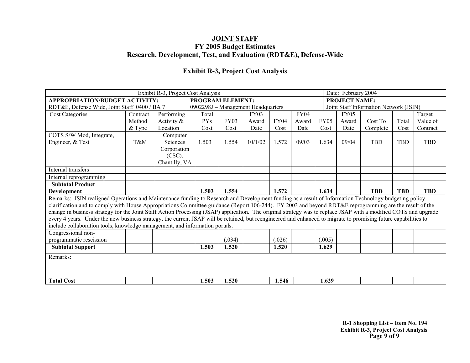### **Exhibit R-3, Project Cost Analysis**

|                                                                                                                                                                  | Exhibit R-3, Project Cost Analysis |               |                                    |             |             |             |             |             |                                        |            |            |            |
|------------------------------------------------------------------------------------------------------------------------------------------------------------------|------------------------------------|---------------|------------------------------------|-------------|-------------|-------------|-------------|-------------|----------------------------------------|------------|------------|------------|
| <b>APPROPRIATION/BUDGET ACTIVITY:</b>                                                                                                                            |                                    |               | <b>PROGRAM ELEMENT:</b>            |             |             |             |             |             | <b>PROJECT NAME:</b>                   |            |            |            |
| RDT&E, Defense Wide, Joint Staff 0400 / BA 7                                                                                                                     |                                    |               | 0902298J - Management Headquarters |             |             |             |             |             | Joint Staff Information Network (JSIN) |            |            |            |
| <b>Cost Categories</b>                                                                                                                                           | Contract                           | Performing    | Total                              |             | <b>FY03</b> |             | <b>FY04</b> |             | <b>FY05</b>                            |            |            | Target     |
|                                                                                                                                                                  | Method                             | Activity $\&$ | <b>PYs</b>                         | <b>FY03</b> | Award       | <b>FY04</b> | Award       | <b>FY05</b> | Award                                  | Cost To    | Total      | Value of   |
|                                                                                                                                                                  | & Type                             | Location      | Cost                               | Cost        | Date        | Cost        | Date        | Cost        | Date                                   | Complete   | Cost       | Contract   |
| COTS S/W Mod, Integrate,                                                                                                                                         |                                    | Computer      |                                    |             |             |             |             |             |                                        |            |            |            |
| Engineer, & Test                                                                                                                                                 | T&M                                | Sciences      | 1.503                              | 1.554       | 10/1/02     | 1.572       | 09/03       | 1.634       | 09/04                                  | <b>TBD</b> | <b>TBD</b> | TBD        |
|                                                                                                                                                                  |                                    | Corporation   |                                    |             |             |             |             |             |                                        |            |            |            |
|                                                                                                                                                                  |                                    | $(CSC)$ ,     |                                    |             |             |             |             |             |                                        |            |            |            |
|                                                                                                                                                                  |                                    | Chantilly, VA |                                    |             |             |             |             |             |                                        |            |            |            |
| Internal transfers                                                                                                                                               |                                    |               |                                    |             |             |             |             |             |                                        |            |            |            |
| Internal reprogramming                                                                                                                                           |                                    |               |                                    |             |             |             |             |             |                                        |            |            |            |
| <b>Subtotal Product</b>                                                                                                                                          |                                    |               |                                    |             |             |             |             |             |                                        |            |            |            |
| Development                                                                                                                                                      |                                    |               | 1.503                              | 1.554       |             | 1.572       |             | 1.634       |                                        | <b>TBD</b> | <b>TBD</b> | <b>TBD</b> |
| Remarks: JSIN realigned Operations and Maintenance funding to Research and Development funding as a result of Information Technology budgeting policy            |                                    |               |                                    |             |             |             |             |             |                                        |            |            |            |
| clarification and to comply with House Appropriations Committee guidance (Report 106-244). FY 2003 and beyond RDT&E reprogramming are the result of the          |                                    |               |                                    |             |             |             |             |             |                                        |            |            |            |
| change in business strategy for the Joint Staff Action Processing (JSAP) application. The original strategy was to replace JSAP with a modified COTS and upgrade |                                    |               |                                    |             |             |             |             |             |                                        |            |            |            |
| every 4 years. Under the new business strategy, the current JSAP will be retained, but reengineered and enhanced to migrate to promising future capabilities to  |                                    |               |                                    |             |             |             |             |             |                                        |            |            |            |
| include collaboration tools, knowledge management, and information portals.                                                                                      |                                    |               |                                    |             |             |             |             |             |                                        |            |            |            |
| Congressional non-                                                                                                                                               |                                    |               |                                    |             |             |             |             |             |                                        |            |            |            |
| programmatic rescission                                                                                                                                          |                                    |               |                                    | (.034)      |             | (.026)      |             | (.005)      |                                        |            |            |            |
| <b>Subtotal Support</b>                                                                                                                                          |                                    |               | 1.503                              | 1.520       |             | 1.520       |             | 1.629       |                                        |            |            |            |
| Remarks:                                                                                                                                                         |                                    |               |                                    |             |             |             |             |             |                                        |            |            |            |
|                                                                                                                                                                  |                                    |               |                                    |             |             |             |             |             |                                        |            |            |            |
|                                                                                                                                                                  |                                    |               |                                    |             |             |             |             |             |                                        |            |            |            |
| <b>Total Cost</b>                                                                                                                                                |                                    |               | 1.503                              | 1.520       |             | 1.546       |             | 1.629       |                                        |            |            |            |